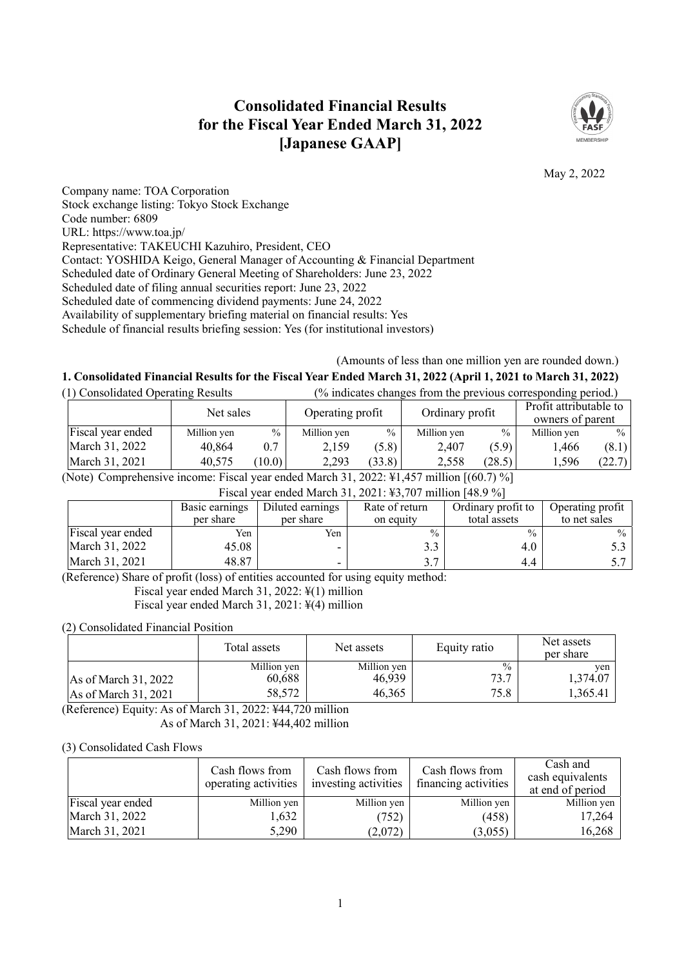# **Consolidated Financial Results for the Fiscal Year Ended March 31, 2022 [Japanese GAAP]**



May 2, 2022

Company name: TOA Corporation Stock exchange listing: Tokyo Stock Exchange Code number: 6809 URL: https://www.toa.jp/ Representative: TAKEUCHI Kazuhiro, President, CEO Contact: YOSHIDA Keigo, General Manager of Accounting & Financial Department Scheduled date of Ordinary General Meeting of Shareholders: June 23, 2022 Scheduled date of filing annual securities report: June 23, 2022 Scheduled date of commencing dividend payments: June 24, 2022 Availability of supplementary briefing material on financial results: Yes Schedule of financial results briefing session: Yes (for institutional investors)

(Amounts of less than one million yen are rounded down.)

## **1. Consolidated Financial Results for the Fiscal Year Ended March 31, 2022 (April 1, 2021 to March 31, 2022)**

| (1) Consolidated Operating Results |             | (% indicates changes from the previous corresponding period.) |             |               |             |                 |             |                                            |
|------------------------------------|-------------|---------------------------------------------------------------|-------------|---------------|-------------|-----------------|-------------|--------------------------------------------|
|                                    | Net sales   | Operating profit                                              |             |               |             | Ordinary profit |             | Profit attributable to<br>owners of parent |
| Fiscal year ended                  | Million yen | $\frac{0}{0}$                                                 | Million yen | $\frac{0}{0}$ | Million yen | $\frac{0}{0}$   | Million yen | $\frac{0}{0}$                              |
| March 31, 2022                     | 40,864      | 0.7                                                           | 2.159       | (5.8)         | 2.407       | (5.9)           | .,466       | (8.1)                                      |
| March 31, 2021                     | 40,575      | (10.0)                                                        | 2,293       | (33.8)        | 2.558       | (28.5)          | .596        | (22.7)                                     |

(Note) Comprehensive income: Fiscal year ended March 31, 2022: ¥1,457 million [(60.7) %]

| Fiscal year ended March 31, 2021: \\$3,707 million [48.9 %] |                                                                                                |           |               |               |              |  |  |  |
|-------------------------------------------------------------|------------------------------------------------------------------------------------------------|-----------|---------------|---------------|--------------|--|--|--|
|                                                             | Diluted earnings<br>Basic earnings<br>Ordinary profit to<br>Operating profit<br>Rate of return |           |               |               |              |  |  |  |
|                                                             | per share                                                                                      | per share | on equity     | total assets  | to net sales |  |  |  |
| Fiscal year ended                                           | Yen                                                                                            | Yen       | $\frac{0}{0}$ | $\frac{0}{0}$ | $\%$         |  |  |  |
| March 31, 2022                                              | 45.08                                                                                          | -         | 3.3           | 4.0           |              |  |  |  |
| March 31, 2021                                              | 48.87                                                                                          | -         | 3.7           | 4.4           |              |  |  |  |

(Reference) Share of profit (loss) of entities accounted for using equity method:

Fiscal year ended March 31, 2022: ¥(1) million

Fiscal year ended March 31, 2021: ¥(4) million

(2) Consolidated Financial Position

|                      | Total assets          | Net assets            | Equity ratio          | Net assets<br>per share |
|----------------------|-----------------------|-----------------------|-----------------------|-------------------------|
| As of March 31, 2022 | Million yen<br>60,688 | Million yen<br>46.939 | $\frac{0}{0}$<br>73.7 | ven<br>1.374.07         |
| As of March 31, 2021 | 58,572                | 46,365                | 75.8                  | 1,365.41                |

(Reference) Equity: As of March 31, 2022: ¥44,720 million As of March 31, 2021: ¥44,402 million

### (3) Consolidated Cash Flows

|                   | Cash flows from<br>operating activities | Cash flows from<br>investing activities | Cash flows from<br>financing activities | Cash and<br>cash equivalents<br>at end of period |
|-------------------|-----------------------------------------|-----------------------------------------|-----------------------------------------|--------------------------------------------------|
| Fiscal year ended | Million yen                             | Million yen                             | Million yen                             | Million yen                                      |
| March 31, 2022    | 1,632                                   | (752)                                   | (458)                                   | 17,264                                           |
| March 31, 2021    | 5,290                                   | (2,072)                                 | (3,055)                                 | 16,268                                           |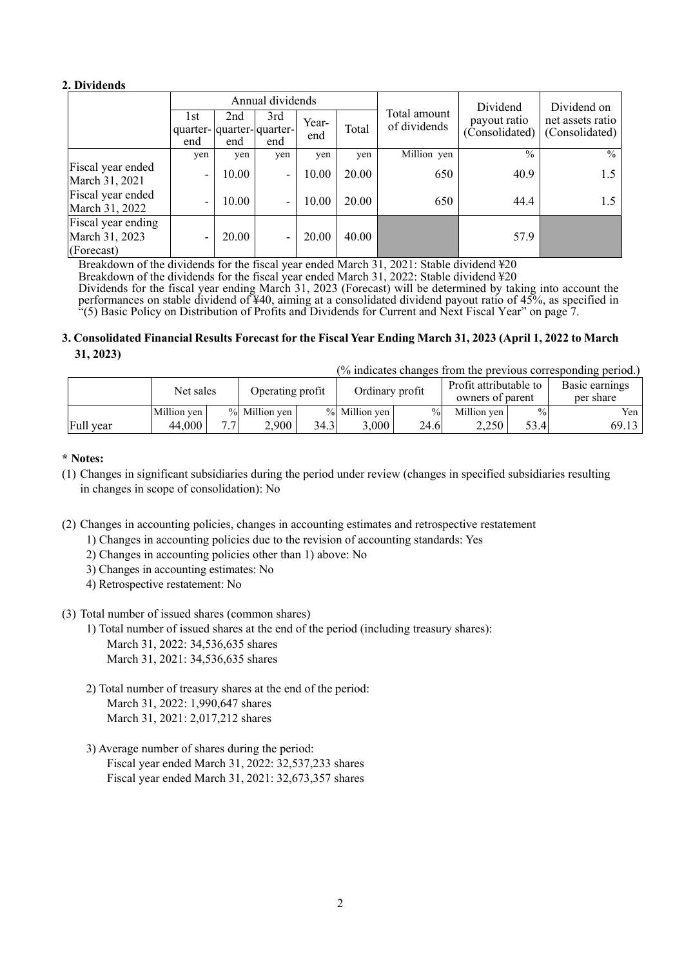## **2. Dividends**

|                                                    |                                           | Annual dividends |            | Dividend     | Dividend on |                              |                                |                                    |
|----------------------------------------------------|-------------------------------------------|------------------|------------|--------------|-------------|------------------------------|--------------------------------|------------------------------------|
|                                                    | l st<br>quarter- quarter- quarter-<br>end | 2nd<br>end       | 3rd<br>end | Year-<br>end | Total       | Total amount<br>of dividends | payout ratio<br>(Consolidated) | net assets ratio<br>(Consolidated) |
|                                                    | yen                                       | yen              | yen        | yen          | yen         | Million yen                  | $\frac{0}{0}$                  | $\frac{0}{0}$                      |
| Fiscal year ended<br>March 31, 2021                | ۰                                         | 10.00            | -          | 10.00        | 20.00       | 650                          | 40.9                           | 1.5                                |
| Fiscal year ended<br>March 31, 2022                |                                           | 10.00            | -          | 10.00        | 20.00       | 650                          | 44.4                           | 1.5                                |
| Fiscal year ending<br>March 31, 2023<br>(Forecast) |                                           | 20.00            | -          | 20.00        | 40.00       |                              | 57.9                           |                                    |

Breakdown of the dividends for the fiscal year ended March 31, 2021: Stable dividend ¥20

Breakdown of the dividends for the fiscal year ended March 31, 2022: Stable dividend ¥20

Dividends for the fiscal year ending March 31, 2023 (Forecast) will be determined by taking into account the performances on stable dividend of ¥40, aiming at a consolidated dividend payout ratio of 45%, as specified in "(5) Basic Policy on Distribution of Profits and Dividends for Current and Next Fiscal Year" on page 7.

## **3. Consolidated Financial Results Forecast for the Fiscal Year Ending March 31, 2023 (April 1, 2022 to March 31, 2023)**

(% indicates changes from the previous corresponding period.)

|           | Net sales<br>Operating profit |          |                 | Ordinary profit |               | Profit attributable to<br>owners of parent |             | Basic earnings<br>per share |       |
|-----------|-------------------------------|----------|-----------------|-----------------|---------------|--------------------------------------------|-------------|-----------------------------|-------|
|           | Million yen                   |          | $%$ Million yen |                 | % Million yen | $\%$                                       | Million yen | $\frac{0}{0}$               | Yen   |
| Full year | 44,000                        | <i>-</i> | 2,900           | 34.3            | 3,000         | 24.6                                       | 2,250       | 53.4                        | 69.13 |

### **\* Notes:**

- (1) Changes in significant subsidiaries during the period under review (changes in specified subsidiaries resulting in changes in scope of consolidation): No
- (2) Changes in accounting policies, changes in accounting estimates and retrospective restatement
	- 1) Changes in accounting policies due to the revision of accounting standards: Yes
		- 2) Changes in accounting policies other than 1) above: No
		- 3) Changes in accounting estimates: No
		- 4) Retrospective restatement: No

### (3) Total number of issued shares (common shares)

- 1) Total number of issued shares at the end of the period (including treasury shares):
	- March 31, 2022: 34,536,635 shares March 31, 2021: 34,536,635 shares
- 2) Total number of treasury shares at the end of the period: March 31, 2022: 1,990,647 shares March 31, 2021: 2,017,212 shares
- 3) Average number of shares during the period: Fiscal year ended March 31, 2022: 32,537,233 shares Fiscal year ended March 31, 2021: 32,673,357 shares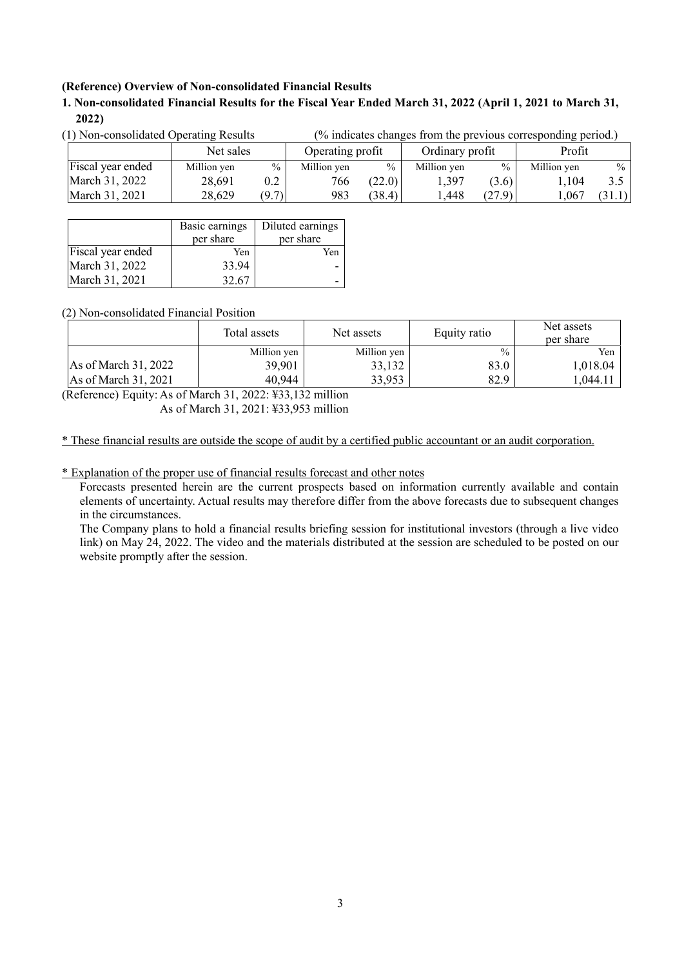### **(Reference) Overview of Non-consolidated Financial Results**

**1. Non-consolidated Financial Results for the Fiscal Year Ended March 31, 2022 (April 1, 2021 to March 31, 2022)** 

| (1) Non-consolidated Operating Results | (% indicates changes from the previous corresponding period.) |               |                  |               |                 |               |             |               |
|----------------------------------------|---------------------------------------------------------------|---------------|------------------|---------------|-----------------|---------------|-------------|---------------|
|                                        | Net sales                                                     |               | Operating profit |               | Ordinary profit |               | Profit      |               |
| Fiscal year ended                      | Million yen                                                   | $\frac{0}{0}$ | Million yen      | $\frac{0}{0}$ | Million yen     | $\frac{0}{0}$ | Million yen | $\frac{0}{0}$ |
| March 31, 2022                         | 28,691                                                        | 0.2           | 766              | (22.0)        | 1.397           | (3.6)         | 1.104       | 3.5           |
| March 31, 2021                         | 28,629                                                        | (9.7)         | 983              | (38.4)        | .448            | (27.9)        | 1.067       | (31.1)        |

| (1) Non-consolidated Operating Results | $\frac{6}{6}$ indicates changes from the pre |  |  |
|----------------------------------------|----------------------------------------------|--|--|
|                                        |                                              |  |  |

|                   | Basic earnings<br>per share | Diluted earnings<br>per share |
|-------------------|-----------------------------|-------------------------------|
| Fiscal year ended | Yen                         | Yen                           |
| March 31, 2022    | 33.94                       |                               |
| March 31, 2021    | 32.67                       |                               |

#### (2) Non-consolidated Financial Position

|                      | Total assets | Net assets  | Equity ratio  | Net assets<br>per share |
|----------------------|--------------|-------------|---------------|-------------------------|
|                      | Million yen  | Million yen | $\frac{0}{0}$ | Yen                     |
| As of March 31, 2022 | 39,901       | 33,132      | 83.0          | 1,018.04                |
| As of March 31, 2021 | 40,944       | 33,953      | 82.9          | ,044.11                 |

(Reference) Equity: As of March 31, 2022: ¥33,132 million As of March 31, 2021: ¥33,953 million

\* These financial results are outside the scope of audit by a certified public accountant or an audit corporation.

\* Explanation of the proper use of financial results forecast and other notes

Forecasts presented herein are the current prospects based on information currently available and contain elements of uncertainty. Actual results may therefore differ from the above forecasts due to subsequent changes in the circumstances.

The Company plans to hold a financial results briefing session for institutional investors (through a live video link) on May 24, 2022. The video and the materials distributed at the session are scheduled to be posted on our website promptly after the session.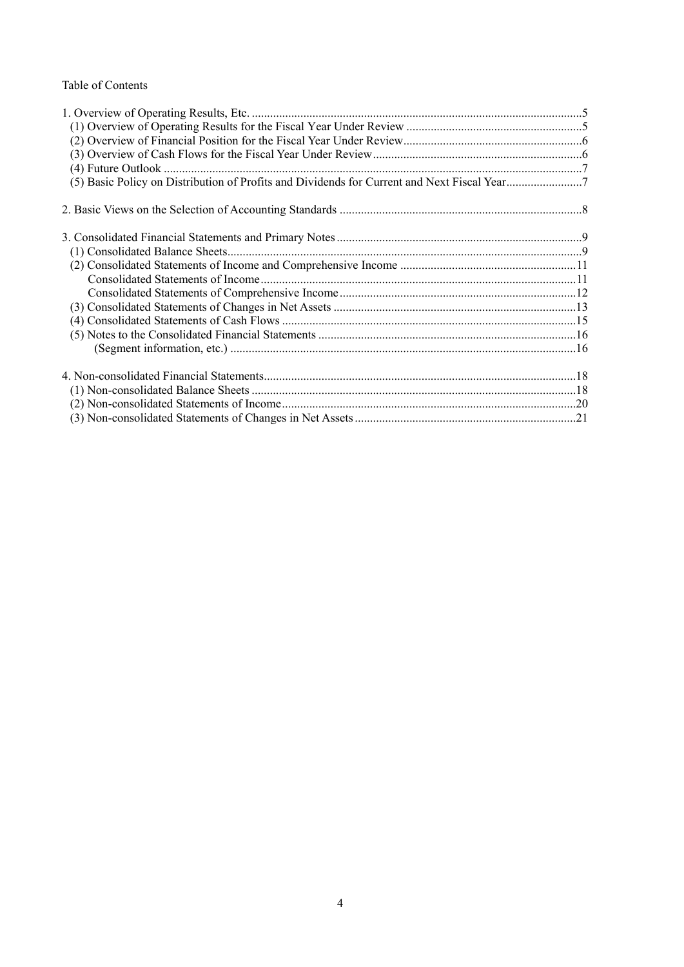## Table of Contents

| (5) Basic Policy on Distribution of Profits and Dividends for Current and Next Fiscal Year7 |  |
|---------------------------------------------------------------------------------------------|--|
|                                                                                             |  |
|                                                                                             |  |
|                                                                                             |  |
|                                                                                             |  |
|                                                                                             |  |
|                                                                                             |  |
|                                                                                             |  |
|                                                                                             |  |
|                                                                                             |  |
|                                                                                             |  |
|                                                                                             |  |
|                                                                                             |  |
|                                                                                             |  |
|                                                                                             |  |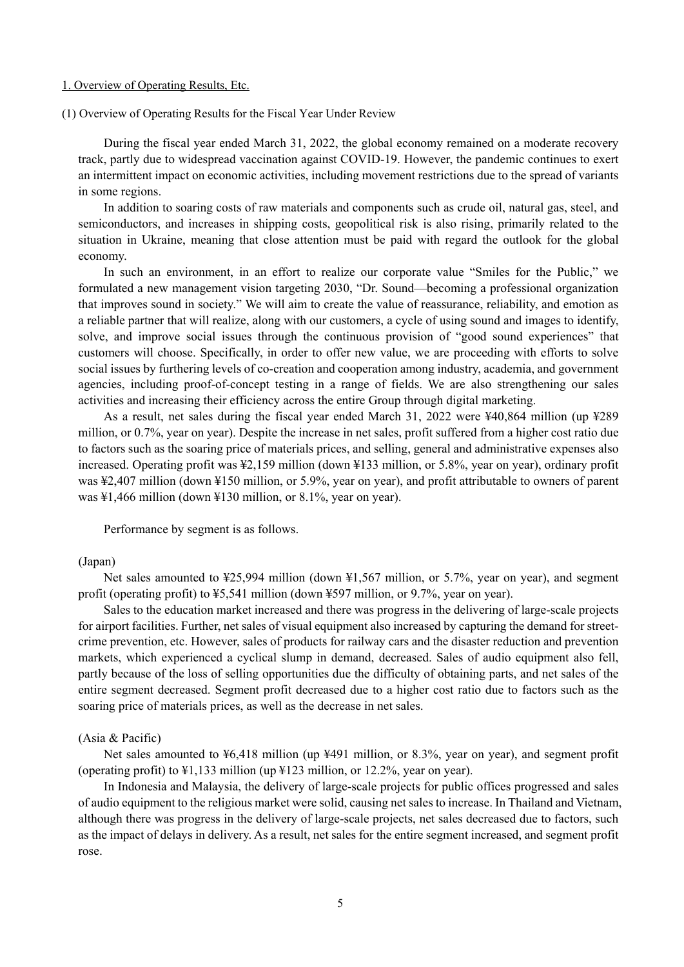#### 1. Overview of Operating Results, Etc.

#### (1) Overview of Operating Results for the Fiscal Year Under Review

During the fiscal year ended March 31, 2022, the global economy remained on a moderate recovery track, partly due to widespread vaccination against COVID-19. However, the pandemic continues to exert an intermittent impact on economic activities, including movement restrictions due to the spread of variants in some regions.

In addition to soaring costs of raw materials and components such as crude oil, natural gas, steel, and semiconductors, and increases in shipping costs, geopolitical risk is also rising, primarily related to the situation in Ukraine, meaning that close attention must be paid with regard the outlook for the global economy.

In such an environment, in an effort to realize our corporate value "Smiles for the Public," we formulated a new management vision targeting 2030, "Dr. Sound—becoming a professional organization that improves sound in society." We will aim to create the value of reassurance, reliability, and emotion as a reliable partner that will realize, along with our customers, a cycle of using sound and images to identify, solve, and improve social issues through the continuous provision of "good sound experiences" that customers will choose. Specifically, in order to offer new value, we are proceeding with efforts to solve social issues by furthering levels of co-creation and cooperation among industry, academia, and government agencies, including proof-of-concept testing in a range of fields. We are also strengthening our sales activities and increasing their efficiency across the entire Group through digital marketing.

As a result, net sales during the fiscal year ended March 31, 2022 were ¥40,864 million (up ¥289 million, or 0.7%, year on year). Despite the increase in net sales, profit suffered from a higher cost ratio due to factors such as the soaring price of materials prices, and selling, general and administrative expenses also increased. Operating profit was ¥2,159 million (down ¥133 million, or 5.8%, year on year), ordinary profit was ¥2,407 million (down ¥150 million, or 5.9%, year on year), and profit attributable to owners of parent was ¥1,466 million (down ¥130 million, or 8.1%, year on year).

Performance by segment is as follows.

#### (Japan)

Net sales amounted to  $\frac{1}{25}$ ,994 million (down  $\frac{1}{25}$ ,567 million, or 5.7%, year on year), and segment profit (operating profit) to ¥5,541 million (down ¥597 million, or 9.7%, year on year).

Sales to the education market increased and there was progress in the delivering of large-scale projects for airport facilities. Further, net sales of visual equipment also increased by capturing the demand for streetcrime prevention, etc. However, sales of products for railway cars and the disaster reduction and prevention markets, which experienced a cyclical slump in demand, decreased. Sales of audio equipment also fell, partly because of the loss of selling opportunities due the difficulty of obtaining parts, and net sales of the entire segment decreased. Segment profit decreased due to a higher cost ratio due to factors such as the soaring price of materials prices, as well as the decrease in net sales.

#### (Asia & Pacific)

Net sales amounted to  $\frac{1}{2}6,418$  million (up  $\frac{1}{2}491$  million, or 8.3%, year on year), and segment profit (operating profit) to ¥1,133 million (up ¥123 million, or 12.2%, year on year).

In Indonesia and Malaysia, the delivery of large-scale projects for public offices progressed and sales of audio equipment to the religious market were solid, causing net sales to increase. In Thailand and Vietnam, although there was progress in the delivery of large-scale projects, net sales decreased due to factors, such as the impact of delays in delivery. As a result, net sales for the entire segment increased, and segment profit rose.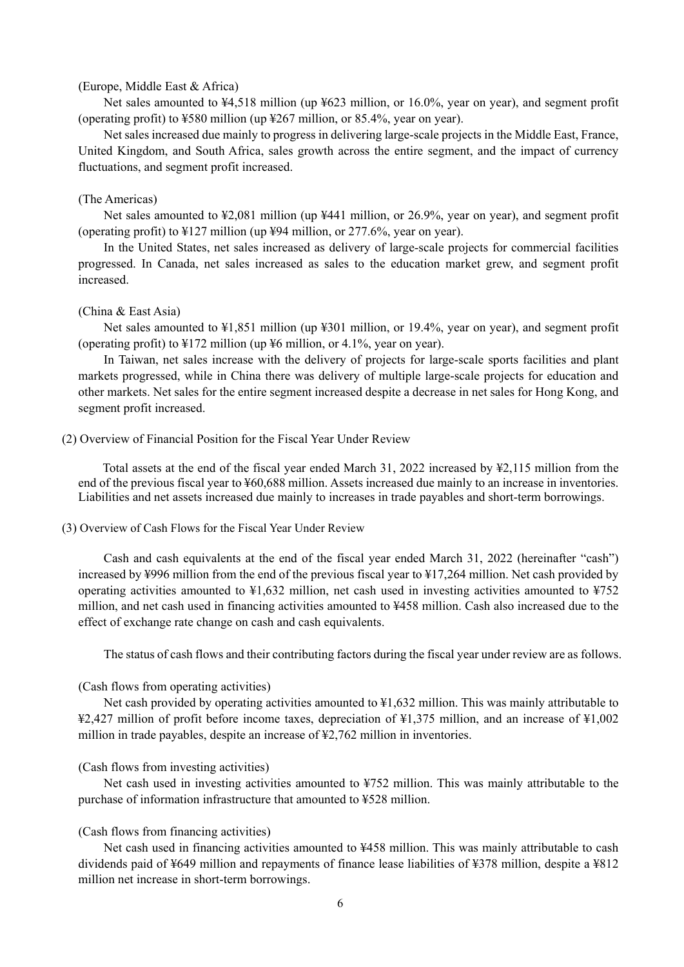#### (Europe, Middle East & Africa)

Net sales amounted to ¥4,518 million (up ¥623 million, or 16.0%, year on year), and segment profit (operating profit) to ¥580 million (up ¥267 million, or 85.4%, year on year).

Net sales increased due mainly to progress in delivering large-scale projects in the Middle East, France, United Kingdom, and South Africa, sales growth across the entire segment, and the impact of currency fluctuations, and segment profit increased.

#### (The Americas)

Net sales amounted to ¥2,081 million (up ¥441 million, or 26.9%, year on year), and segment profit (operating profit) to ¥127 million (up ¥94 million, or 277.6%, year on year).

In the United States, net sales increased as delivery of large-scale projects for commercial facilities progressed. In Canada, net sales increased as sales to the education market grew, and segment profit increased.

#### (China & East Asia)

Net sales amounted to ¥1,851 million (up ¥301 million, or 19.4%, year on year), and segment profit (operating profit) to  $\frac{1}{2}$  million (up  $\frac{1}{2}$  million, or 4.1%, year on year).

In Taiwan, net sales increase with the delivery of projects for large-scale sports facilities and plant markets progressed, while in China there was delivery of multiple large-scale projects for education and other markets. Net sales for the entire segment increased despite a decrease in net sales for Hong Kong, and segment profit increased.

#### (2) Overview of Financial Position for the Fiscal Year Under Review

Total assets at the end of the fiscal year ended March 31, 2022 increased by ¥2,115 million from the end of the previous fiscal year to ¥60,688 million. Assets increased due mainly to an increase in inventories. Liabilities and net assets increased due mainly to increases in trade payables and short-term borrowings.

(3) Overview of Cash Flows for the Fiscal Year Under Review

Cash and cash equivalents at the end of the fiscal year ended March 31, 2022 (hereinafter "cash") increased by ¥996 million from the end of the previous fiscal year to ¥17,264 million. Net cash provided by operating activities amounted to ¥1,632 million, net cash used in investing activities amounted to ¥752 million, and net cash used in financing activities amounted to ¥458 million. Cash also increased due to the effect of exchange rate change on cash and cash equivalents.

The status of cash flows and their contributing factors during the fiscal year under review are as follows.

#### (Cash flows from operating activities)

Net cash provided by operating activities amounted to ¥1,632 million. This was mainly attributable to ¥2,427 million of profit before income taxes, depreciation of ¥1,375 million, and an increase of ¥1,002 million in trade payables, despite an increase of ¥2,762 million in inventories.

#### (Cash flows from investing activities)

Net cash used in investing activities amounted to ¥752 million. This was mainly attributable to the purchase of information infrastructure that amounted to ¥528 million.

#### (Cash flows from financing activities)

Net cash used in financing activities amounted to ¥458 million. This was mainly attributable to cash dividends paid of ¥649 million and repayments of finance lease liabilities of ¥378 million, despite a ¥812 million net increase in short-term borrowings.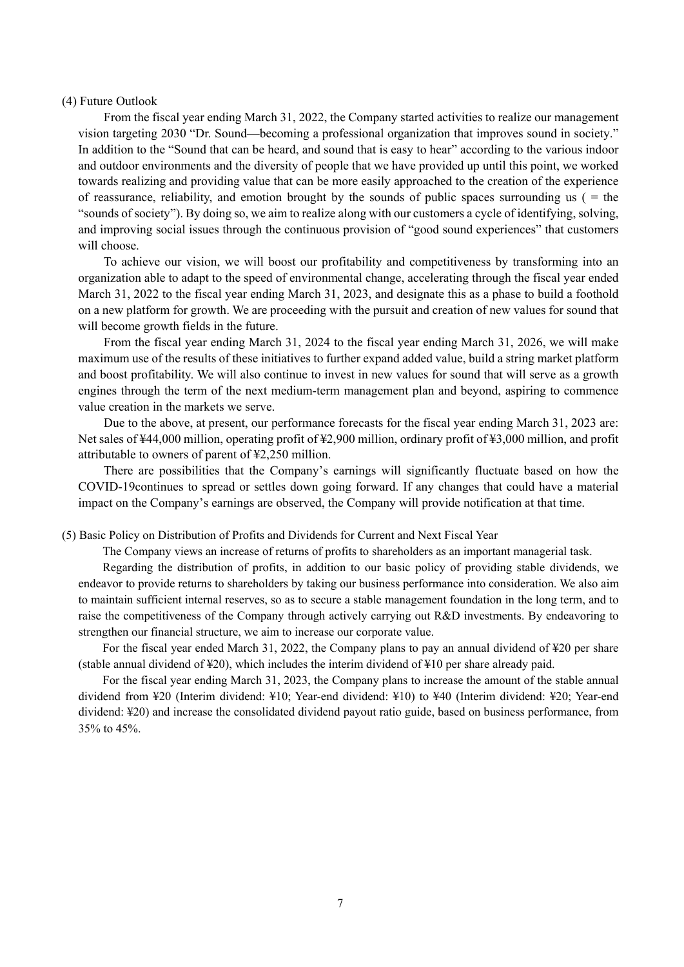#### (4) Future Outlook

From the fiscal year ending March 31, 2022, the Company started activities to realize our management vision targeting 2030 "Dr. Sound—becoming a professional organization that improves sound in society." In addition to the "Sound that can be heard, and sound that is easy to hear" according to the various indoor and outdoor environments and the diversity of people that we have provided up until this point, we worked towards realizing and providing value that can be more easily approached to the creation of the experience of reassurance, reliability, and emotion brought by the sounds of public spaces surrounding us  $( = the$ "sounds of society"). By doing so, we aim to realize along with our customers a cycle of identifying, solving, and improving social issues through the continuous provision of "good sound experiences" that customers will choose.

To achieve our vision, we will boost our profitability and competitiveness by transforming into an organization able to adapt to the speed of environmental change, accelerating through the fiscal year ended March 31, 2022 to the fiscal year ending March 31, 2023, and designate this as a phase to build a foothold on a new platform for growth. We are proceeding with the pursuit and creation of new values for sound that will become growth fields in the future.

From the fiscal year ending March 31, 2024 to the fiscal year ending March 31, 2026, we will make maximum use of the results of these initiatives to further expand added value, build a string market platform and boost profitability. We will also continue to invest in new values for sound that will serve as a growth engines through the term of the next medium-term management plan and beyond, aspiring to commence value creation in the markets we serve.

Due to the above, at present, our performance forecasts for the fiscal year ending March 31, 2023 are: Net sales of ¥44,000 million, operating profit of ¥2,900 million, ordinary profit of ¥3,000 million, and profit attributable to owners of parent of ¥2,250 million.

There are possibilities that the Company's earnings will significantly fluctuate based on how the COVID-19continues to spread or settles down going forward. If any changes that could have a material impact on the Company's earnings are observed, the Company will provide notification at that time.

#### (5) Basic Policy on Distribution of Profits and Dividends for Current and Next Fiscal Year

The Company views an increase of returns of profits to shareholders as an important managerial task.

Regarding the distribution of profits, in addition to our basic policy of providing stable dividends, we endeavor to provide returns to shareholders by taking our business performance into consideration. We also aim to maintain sufficient internal reserves, so as to secure a stable management foundation in the long term, and to raise the competitiveness of the Company through actively carrying out R&D investments. By endeavoring to strengthen our financial structure, we aim to increase our corporate value.

For the fiscal year ended March 31, 2022, the Company plans to pay an annual dividend of ¥20 per share (stable annual dividend of  $\frac{1}{20}$ ), which includes the interim dividend of  $\frac{1}{20}$  per share already paid.

For the fiscal year ending March 31, 2023, the Company plans to increase the amount of the stable annual dividend from ¥20 (Interim dividend: ¥10; Year-end dividend: ¥10) to ¥40 (Interim dividend: ¥20; Year-end dividend: ¥20) and increase the consolidated dividend payout ratio guide, based on business performance, from 35% to 45%.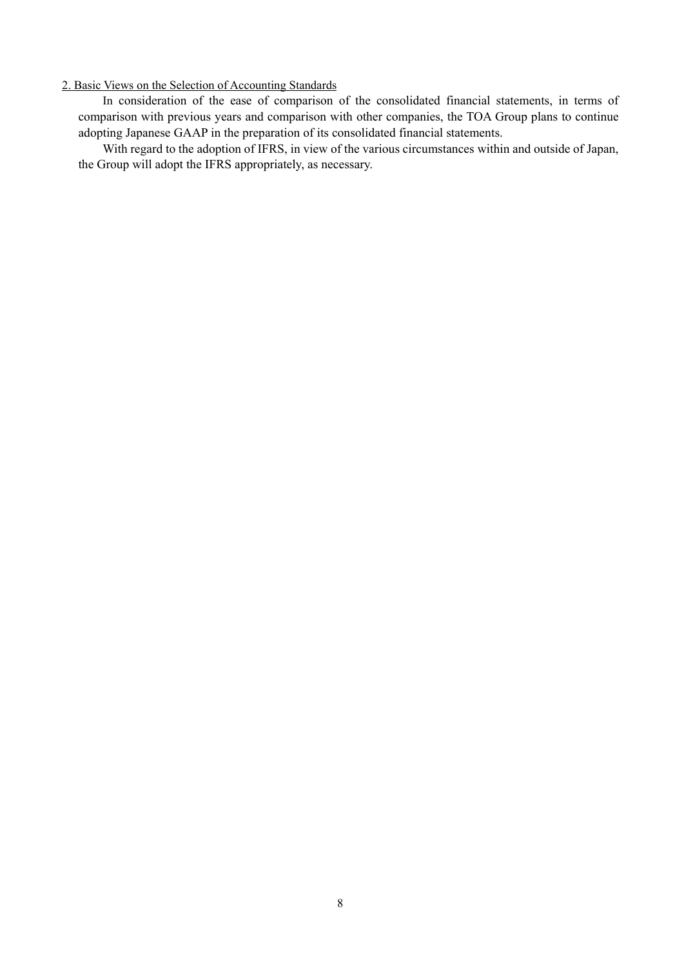## 2. Basic Views on the Selection of Accounting Standards

In consideration of the ease of comparison of the consolidated financial statements, in terms of comparison with previous years and comparison with other companies, the TOA Group plans to continue adopting Japanese GAAP in the preparation of its consolidated financial statements.

With regard to the adoption of IFRS, in view of the various circumstances within and outside of Japan, the Group will adopt the IFRS appropriately, as necessary.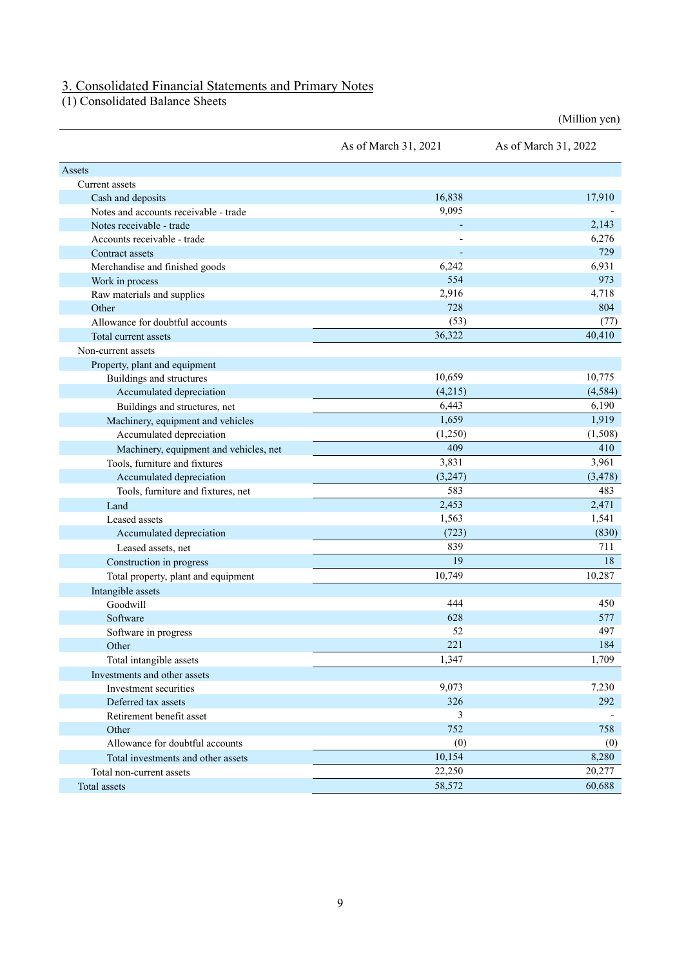### 3. Consolidated Financial Statements and Primary Notes

(1) Consolidated Balance Sheets

| Assets<br>Current assets<br>16,838<br>17,910<br>Cash and deposits<br>9,095<br>Notes and accounts receivable - trade<br>2,143<br>Notes receivable - trade<br>6,276<br>Accounts receivable - trade<br>729<br>Contract assets<br>$\overline{\phantom{a}}$<br>6,242<br>6,931<br>Merchandise and finished goods<br>554<br>973<br>Work in process<br>2,916<br>4,718<br>Raw materials and supplies<br>728<br>804<br>Other<br>(53)<br>Allowance for doubtful accounts<br>(77)<br>36,322<br>40,410<br>Total current assets<br>Non-current assets<br>Property, plant and equipment<br>10,659<br>10,775<br>Buildings and structures<br>(4,215)<br>(4, 584)<br>Accumulated depreciation<br>6,443<br>6,190<br>Buildings and structures, net<br>1,659<br>1,919<br>Machinery, equipment and vehicles<br>(1,250)<br>(1,508)<br>Accumulated depreciation<br>409<br>Machinery, equipment and vehicles, net<br>410<br>3,831<br>3,961<br>Tools, furniture and fixtures<br>Accumulated depreciation<br>(3,247)<br>(3, 478)<br>583<br>483<br>Tools, furniture and fixtures, net<br>2,453<br>2,471<br>Land<br>1,563<br>1,541<br>Leased assets<br>(723)<br>(830)<br>Accumulated depreciation<br>839<br>711<br>Leased assets, net<br>19<br>18<br>Construction in progress<br>10,749<br>10,287<br>Total property, plant and equipment<br>Intangible assets<br>444<br>450<br>Goodwill<br>628<br>577<br>Software<br>52<br>497<br>Software in progress<br>221<br>184<br>Other<br>1,347<br>1,709<br>Total intangible assets<br>Investments and other assets<br>9,073<br>7,230<br>Investment securities<br>292<br>326<br>Deferred tax assets<br>3<br>Retirement benefit asset<br>752<br>758<br>Other<br>(0)<br>Allowance for doubtful accounts<br>(0)<br>8,280<br>10,154<br>Total investments and other assets<br>22,250<br>20,277<br>Total non-current assets<br>58,572<br>60,688<br>Total assets | As of March 31, 2021 | As of March 31, 2022 |
|---------------------------------------------------------------------------------------------------------------------------------------------------------------------------------------------------------------------------------------------------------------------------------------------------------------------------------------------------------------------------------------------------------------------------------------------------------------------------------------------------------------------------------------------------------------------------------------------------------------------------------------------------------------------------------------------------------------------------------------------------------------------------------------------------------------------------------------------------------------------------------------------------------------------------------------------------------------------------------------------------------------------------------------------------------------------------------------------------------------------------------------------------------------------------------------------------------------------------------------------------------------------------------------------------------------------------------------------------------------------------------------------------------------------------------------------------------------------------------------------------------------------------------------------------------------------------------------------------------------------------------------------------------------------------------------------------------------------------------------------------------------------------------------------------------------------------------------------------------------------|----------------------|----------------------|
|                                                                                                                                                                                                                                                                                                                                                                                                                                                                                                                                                                                                                                                                                                                                                                                                                                                                                                                                                                                                                                                                                                                                                                                                                                                                                                                                                                                                                                                                                                                                                                                                                                                                                                                                                                                                                                                                     |                      |                      |
|                                                                                                                                                                                                                                                                                                                                                                                                                                                                                                                                                                                                                                                                                                                                                                                                                                                                                                                                                                                                                                                                                                                                                                                                                                                                                                                                                                                                                                                                                                                                                                                                                                                                                                                                                                                                                                                                     |                      |                      |
|                                                                                                                                                                                                                                                                                                                                                                                                                                                                                                                                                                                                                                                                                                                                                                                                                                                                                                                                                                                                                                                                                                                                                                                                                                                                                                                                                                                                                                                                                                                                                                                                                                                                                                                                                                                                                                                                     |                      |                      |
|                                                                                                                                                                                                                                                                                                                                                                                                                                                                                                                                                                                                                                                                                                                                                                                                                                                                                                                                                                                                                                                                                                                                                                                                                                                                                                                                                                                                                                                                                                                                                                                                                                                                                                                                                                                                                                                                     |                      |                      |
|                                                                                                                                                                                                                                                                                                                                                                                                                                                                                                                                                                                                                                                                                                                                                                                                                                                                                                                                                                                                                                                                                                                                                                                                                                                                                                                                                                                                                                                                                                                                                                                                                                                                                                                                                                                                                                                                     |                      |                      |
|                                                                                                                                                                                                                                                                                                                                                                                                                                                                                                                                                                                                                                                                                                                                                                                                                                                                                                                                                                                                                                                                                                                                                                                                                                                                                                                                                                                                                                                                                                                                                                                                                                                                                                                                                                                                                                                                     |                      |                      |
|                                                                                                                                                                                                                                                                                                                                                                                                                                                                                                                                                                                                                                                                                                                                                                                                                                                                                                                                                                                                                                                                                                                                                                                                                                                                                                                                                                                                                                                                                                                                                                                                                                                                                                                                                                                                                                                                     |                      |                      |
|                                                                                                                                                                                                                                                                                                                                                                                                                                                                                                                                                                                                                                                                                                                                                                                                                                                                                                                                                                                                                                                                                                                                                                                                                                                                                                                                                                                                                                                                                                                                                                                                                                                                                                                                                                                                                                                                     |                      |                      |
|                                                                                                                                                                                                                                                                                                                                                                                                                                                                                                                                                                                                                                                                                                                                                                                                                                                                                                                                                                                                                                                                                                                                                                                                                                                                                                                                                                                                                                                                                                                                                                                                                                                                                                                                                                                                                                                                     |                      |                      |
|                                                                                                                                                                                                                                                                                                                                                                                                                                                                                                                                                                                                                                                                                                                                                                                                                                                                                                                                                                                                                                                                                                                                                                                                                                                                                                                                                                                                                                                                                                                                                                                                                                                                                                                                                                                                                                                                     |                      |                      |
|                                                                                                                                                                                                                                                                                                                                                                                                                                                                                                                                                                                                                                                                                                                                                                                                                                                                                                                                                                                                                                                                                                                                                                                                                                                                                                                                                                                                                                                                                                                                                                                                                                                                                                                                                                                                                                                                     |                      |                      |
|                                                                                                                                                                                                                                                                                                                                                                                                                                                                                                                                                                                                                                                                                                                                                                                                                                                                                                                                                                                                                                                                                                                                                                                                                                                                                                                                                                                                                                                                                                                                                                                                                                                                                                                                                                                                                                                                     |                      |                      |
|                                                                                                                                                                                                                                                                                                                                                                                                                                                                                                                                                                                                                                                                                                                                                                                                                                                                                                                                                                                                                                                                                                                                                                                                                                                                                                                                                                                                                                                                                                                                                                                                                                                                                                                                                                                                                                                                     |                      |                      |
|                                                                                                                                                                                                                                                                                                                                                                                                                                                                                                                                                                                                                                                                                                                                                                                                                                                                                                                                                                                                                                                                                                                                                                                                                                                                                                                                                                                                                                                                                                                                                                                                                                                                                                                                                                                                                                                                     |                      |                      |
|                                                                                                                                                                                                                                                                                                                                                                                                                                                                                                                                                                                                                                                                                                                                                                                                                                                                                                                                                                                                                                                                                                                                                                                                                                                                                                                                                                                                                                                                                                                                                                                                                                                                                                                                                                                                                                                                     |                      |                      |
|                                                                                                                                                                                                                                                                                                                                                                                                                                                                                                                                                                                                                                                                                                                                                                                                                                                                                                                                                                                                                                                                                                                                                                                                                                                                                                                                                                                                                                                                                                                                                                                                                                                                                                                                                                                                                                                                     |                      |                      |
|                                                                                                                                                                                                                                                                                                                                                                                                                                                                                                                                                                                                                                                                                                                                                                                                                                                                                                                                                                                                                                                                                                                                                                                                                                                                                                                                                                                                                                                                                                                                                                                                                                                                                                                                                                                                                                                                     |                      |                      |
|                                                                                                                                                                                                                                                                                                                                                                                                                                                                                                                                                                                                                                                                                                                                                                                                                                                                                                                                                                                                                                                                                                                                                                                                                                                                                                                                                                                                                                                                                                                                                                                                                                                                                                                                                                                                                                                                     |                      |                      |
|                                                                                                                                                                                                                                                                                                                                                                                                                                                                                                                                                                                                                                                                                                                                                                                                                                                                                                                                                                                                                                                                                                                                                                                                                                                                                                                                                                                                                                                                                                                                                                                                                                                                                                                                                                                                                                                                     |                      |                      |
|                                                                                                                                                                                                                                                                                                                                                                                                                                                                                                                                                                                                                                                                                                                                                                                                                                                                                                                                                                                                                                                                                                                                                                                                                                                                                                                                                                                                                                                                                                                                                                                                                                                                                                                                                                                                                                                                     |                      |                      |
|                                                                                                                                                                                                                                                                                                                                                                                                                                                                                                                                                                                                                                                                                                                                                                                                                                                                                                                                                                                                                                                                                                                                                                                                                                                                                                                                                                                                                                                                                                                                                                                                                                                                                                                                                                                                                                                                     |                      |                      |
|                                                                                                                                                                                                                                                                                                                                                                                                                                                                                                                                                                                                                                                                                                                                                                                                                                                                                                                                                                                                                                                                                                                                                                                                                                                                                                                                                                                                                                                                                                                                                                                                                                                                                                                                                                                                                                                                     |                      |                      |
|                                                                                                                                                                                                                                                                                                                                                                                                                                                                                                                                                                                                                                                                                                                                                                                                                                                                                                                                                                                                                                                                                                                                                                                                                                                                                                                                                                                                                                                                                                                                                                                                                                                                                                                                                                                                                                                                     |                      |                      |
|                                                                                                                                                                                                                                                                                                                                                                                                                                                                                                                                                                                                                                                                                                                                                                                                                                                                                                                                                                                                                                                                                                                                                                                                                                                                                                                                                                                                                                                                                                                                                                                                                                                                                                                                                                                                                                                                     |                      |                      |
|                                                                                                                                                                                                                                                                                                                                                                                                                                                                                                                                                                                                                                                                                                                                                                                                                                                                                                                                                                                                                                                                                                                                                                                                                                                                                                                                                                                                                                                                                                                                                                                                                                                                                                                                                                                                                                                                     |                      |                      |
|                                                                                                                                                                                                                                                                                                                                                                                                                                                                                                                                                                                                                                                                                                                                                                                                                                                                                                                                                                                                                                                                                                                                                                                                                                                                                                                                                                                                                                                                                                                                                                                                                                                                                                                                                                                                                                                                     |                      |                      |
|                                                                                                                                                                                                                                                                                                                                                                                                                                                                                                                                                                                                                                                                                                                                                                                                                                                                                                                                                                                                                                                                                                                                                                                                                                                                                                                                                                                                                                                                                                                                                                                                                                                                                                                                                                                                                                                                     |                      |                      |
|                                                                                                                                                                                                                                                                                                                                                                                                                                                                                                                                                                                                                                                                                                                                                                                                                                                                                                                                                                                                                                                                                                                                                                                                                                                                                                                                                                                                                                                                                                                                                                                                                                                                                                                                                                                                                                                                     |                      |                      |
|                                                                                                                                                                                                                                                                                                                                                                                                                                                                                                                                                                                                                                                                                                                                                                                                                                                                                                                                                                                                                                                                                                                                                                                                                                                                                                                                                                                                                                                                                                                                                                                                                                                                                                                                                                                                                                                                     |                      |                      |
|                                                                                                                                                                                                                                                                                                                                                                                                                                                                                                                                                                                                                                                                                                                                                                                                                                                                                                                                                                                                                                                                                                                                                                                                                                                                                                                                                                                                                                                                                                                                                                                                                                                                                                                                                                                                                                                                     |                      |                      |
|                                                                                                                                                                                                                                                                                                                                                                                                                                                                                                                                                                                                                                                                                                                                                                                                                                                                                                                                                                                                                                                                                                                                                                                                                                                                                                                                                                                                                                                                                                                                                                                                                                                                                                                                                                                                                                                                     |                      |                      |
|                                                                                                                                                                                                                                                                                                                                                                                                                                                                                                                                                                                                                                                                                                                                                                                                                                                                                                                                                                                                                                                                                                                                                                                                                                                                                                                                                                                                                                                                                                                                                                                                                                                                                                                                                                                                                                                                     |                      |                      |
|                                                                                                                                                                                                                                                                                                                                                                                                                                                                                                                                                                                                                                                                                                                                                                                                                                                                                                                                                                                                                                                                                                                                                                                                                                                                                                                                                                                                                                                                                                                                                                                                                                                                                                                                                                                                                                                                     |                      |                      |
|                                                                                                                                                                                                                                                                                                                                                                                                                                                                                                                                                                                                                                                                                                                                                                                                                                                                                                                                                                                                                                                                                                                                                                                                                                                                                                                                                                                                                                                                                                                                                                                                                                                                                                                                                                                                                                                                     |                      |                      |
|                                                                                                                                                                                                                                                                                                                                                                                                                                                                                                                                                                                                                                                                                                                                                                                                                                                                                                                                                                                                                                                                                                                                                                                                                                                                                                                                                                                                                                                                                                                                                                                                                                                                                                                                                                                                                                                                     |                      |                      |
|                                                                                                                                                                                                                                                                                                                                                                                                                                                                                                                                                                                                                                                                                                                                                                                                                                                                                                                                                                                                                                                                                                                                                                                                                                                                                                                                                                                                                                                                                                                                                                                                                                                                                                                                                                                                                                                                     |                      |                      |
|                                                                                                                                                                                                                                                                                                                                                                                                                                                                                                                                                                                                                                                                                                                                                                                                                                                                                                                                                                                                                                                                                                                                                                                                                                                                                                                                                                                                                                                                                                                                                                                                                                                                                                                                                                                                                                                                     |                      |                      |
|                                                                                                                                                                                                                                                                                                                                                                                                                                                                                                                                                                                                                                                                                                                                                                                                                                                                                                                                                                                                                                                                                                                                                                                                                                                                                                                                                                                                                                                                                                                                                                                                                                                                                                                                                                                                                                                                     |                      |                      |
|                                                                                                                                                                                                                                                                                                                                                                                                                                                                                                                                                                                                                                                                                                                                                                                                                                                                                                                                                                                                                                                                                                                                                                                                                                                                                                                                                                                                                                                                                                                                                                                                                                                                                                                                                                                                                                                                     |                      |                      |
|                                                                                                                                                                                                                                                                                                                                                                                                                                                                                                                                                                                                                                                                                                                                                                                                                                                                                                                                                                                                                                                                                                                                                                                                                                                                                                                                                                                                                                                                                                                                                                                                                                                                                                                                                                                                                                                                     |                      |                      |
|                                                                                                                                                                                                                                                                                                                                                                                                                                                                                                                                                                                                                                                                                                                                                                                                                                                                                                                                                                                                                                                                                                                                                                                                                                                                                                                                                                                                                                                                                                                                                                                                                                                                                                                                                                                                                                                                     |                      |                      |
|                                                                                                                                                                                                                                                                                                                                                                                                                                                                                                                                                                                                                                                                                                                                                                                                                                                                                                                                                                                                                                                                                                                                                                                                                                                                                                                                                                                                                                                                                                                                                                                                                                                                                                                                                                                                                                                                     |                      |                      |
|                                                                                                                                                                                                                                                                                                                                                                                                                                                                                                                                                                                                                                                                                                                                                                                                                                                                                                                                                                                                                                                                                                                                                                                                                                                                                                                                                                                                                                                                                                                                                                                                                                                                                                                                                                                                                                                                     |                      |                      |
|                                                                                                                                                                                                                                                                                                                                                                                                                                                                                                                                                                                                                                                                                                                                                                                                                                                                                                                                                                                                                                                                                                                                                                                                                                                                                                                                                                                                                                                                                                                                                                                                                                                                                                                                                                                                                                                                     |                      |                      |
|                                                                                                                                                                                                                                                                                                                                                                                                                                                                                                                                                                                                                                                                                                                                                                                                                                                                                                                                                                                                                                                                                                                                                                                                                                                                                                                                                                                                                                                                                                                                                                                                                                                                                                                                                                                                                                                                     |                      |                      |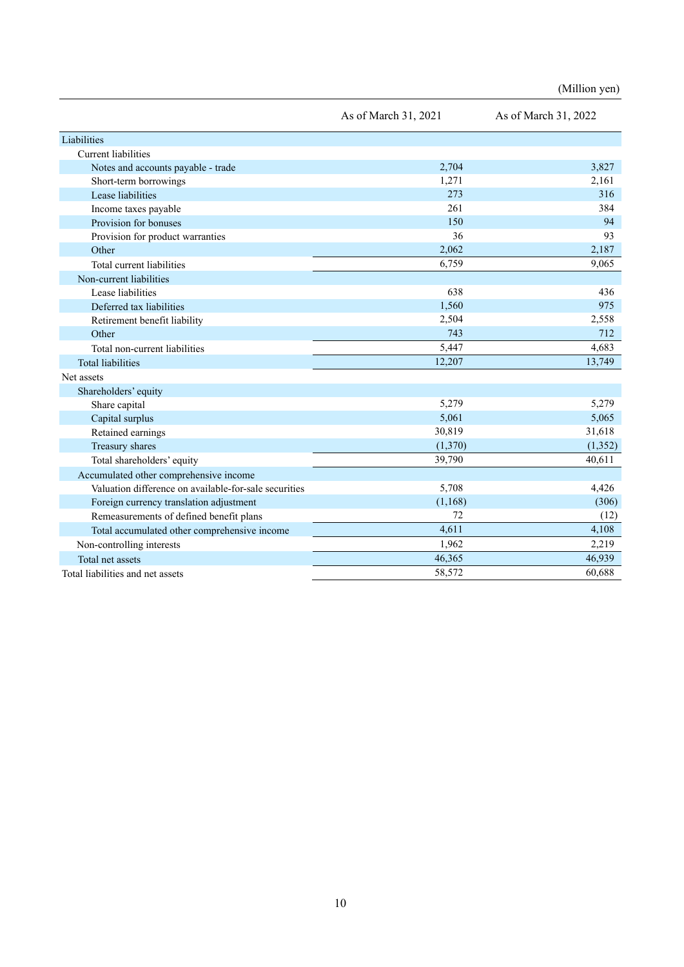|                                                       | As of March 31, 2021 | As of March 31, 2022 |
|-------------------------------------------------------|----------------------|----------------------|
| Liabilities                                           |                      |                      |
| Current liabilities                                   |                      |                      |
| Notes and accounts payable - trade                    | 2,704                | 3,827                |
| Short-term borrowings                                 | 1,271                | 2,161                |
| Lease liabilities                                     | 273                  | 316                  |
| Income taxes payable                                  | 261                  | 384                  |
| Provision for bonuses                                 | 150                  | 94                   |
| Provision for product warranties                      | 36                   | 93                   |
| Other                                                 | 2,062                | 2,187                |
| Total current liabilities                             | 6,759                | 9.065                |
| Non-current liabilities                               |                      |                      |
| Lease liabilities                                     | 638                  | 436                  |
| Deferred tax liabilities                              | 1,560                | 975                  |
| Retirement benefit liability                          | 2,504                | 2,558                |
| Other                                                 | 743                  | 712                  |
| Total non-current liabilities                         | 5,447                | 4,683                |
| <b>Total liabilities</b>                              | 12,207               | 13,749               |
| Net assets                                            |                      |                      |
| Shareholders' equity                                  |                      |                      |
| Share capital                                         | 5,279                | 5,279                |
| Capital surplus                                       | 5,061                | 5,065                |
| Retained earnings                                     | 30,819               | 31,618               |
| Treasury shares                                       | (1,370)              | (1,352)              |
| Total shareholders' equity                            | 39,790               | 40,611               |
| Accumulated other comprehensive income                |                      |                      |
| Valuation difference on available-for-sale securities | 5,708                | 4,426                |
| Foreign currency translation adjustment               | (1,168)              | (306)                |
| Remeasurements of defined benefit plans               | 72                   | (12)                 |
| Total accumulated other comprehensive income          | 4,611                | 4,108                |
| Non-controlling interests                             | 1,962                | 2,219                |
| Total net assets                                      | 46,365               | 46,939               |
| Total liabilities and net assets                      | 58,572               | 60,688               |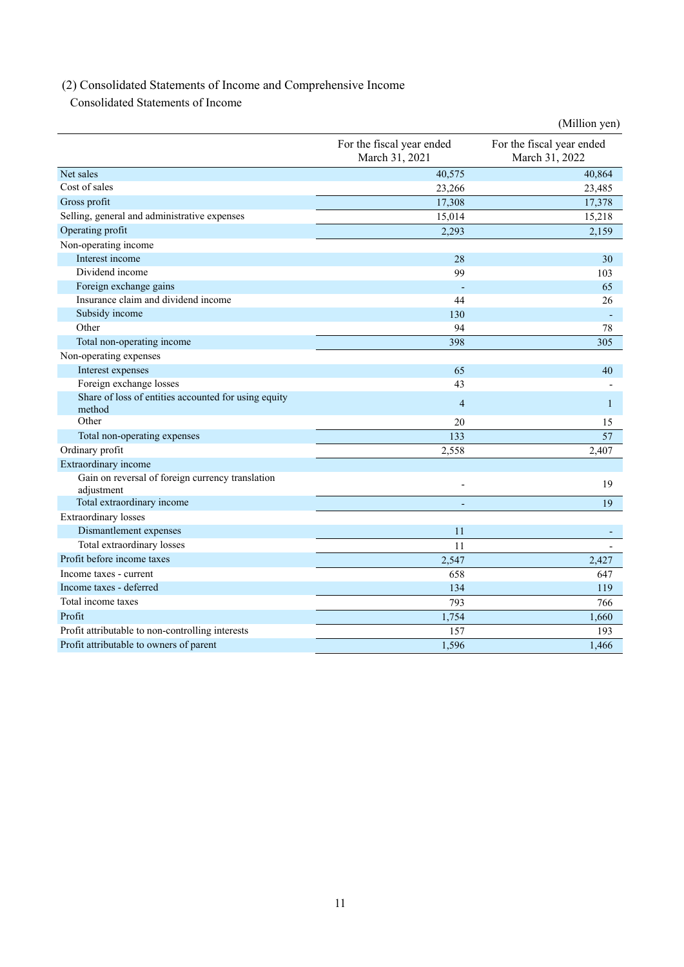# (2) Consolidated Statements of Income and Comprehensive Income

Consolidated Statements of Income

|                                                                |                                             | (Million yen)                               |
|----------------------------------------------------------------|---------------------------------------------|---------------------------------------------|
|                                                                | For the fiscal year ended<br>March 31, 2021 | For the fiscal year ended<br>March 31, 2022 |
| Net sales                                                      | 40,575                                      | 40,864                                      |
| Cost of sales                                                  | 23,266                                      | 23,485                                      |
| Gross profit                                                   | 17,308                                      | 17,378                                      |
| Selling, general and administrative expenses                   | 15,014                                      | 15,218                                      |
| Operating profit                                               | 2,293                                       | 2,159                                       |
| Non-operating income                                           |                                             |                                             |
| Interest income                                                | 28                                          | 30                                          |
| Dividend income                                                | 99                                          | 103                                         |
| Foreign exchange gains                                         |                                             | 65                                          |
| Insurance claim and dividend income                            | 44                                          | 26                                          |
| Subsidy income                                                 | 130                                         |                                             |
| Other                                                          | 94                                          | 78                                          |
| Total non-operating income                                     | 398                                         | 305                                         |
| Non-operating expenses                                         |                                             |                                             |
| Interest expenses                                              | 65                                          | 40                                          |
| Foreign exchange losses                                        | 43                                          |                                             |
| Share of loss of entities accounted for using equity<br>method | $\overline{4}$                              | 1                                           |
| Other                                                          | 20                                          | 15                                          |
| Total non-operating expenses                                   | 133                                         | 57                                          |
| Ordinary profit                                                | 2,558                                       | 2,407                                       |
| Extraordinary income                                           |                                             |                                             |
| Gain on reversal of foreign currency translation<br>adjustment |                                             | 19                                          |
| Total extraordinary income                                     | $\overline{\phantom{a}}$                    | 19                                          |
| <b>Extraordinary</b> losses                                    |                                             |                                             |
| Dismantlement expenses                                         | 11                                          |                                             |
| Total extraordinary losses                                     | 11                                          |                                             |
| Profit before income taxes                                     | 2,547                                       | 2,427                                       |
| Income taxes - current                                         | 658                                         | 647                                         |
| Income taxes - deferred                                        | 134                                         | 119                                         |
| Total income taxes                                             | 793                                         | 766                                         |
| Profit                                                         | 1,754                                       | 1,660                                       |
| Profit attributable to non-controlling interests               | 157                                         | 193                                         |
| Profit attributable to owners of parent                        | 1.596                                       | 1.466                                       |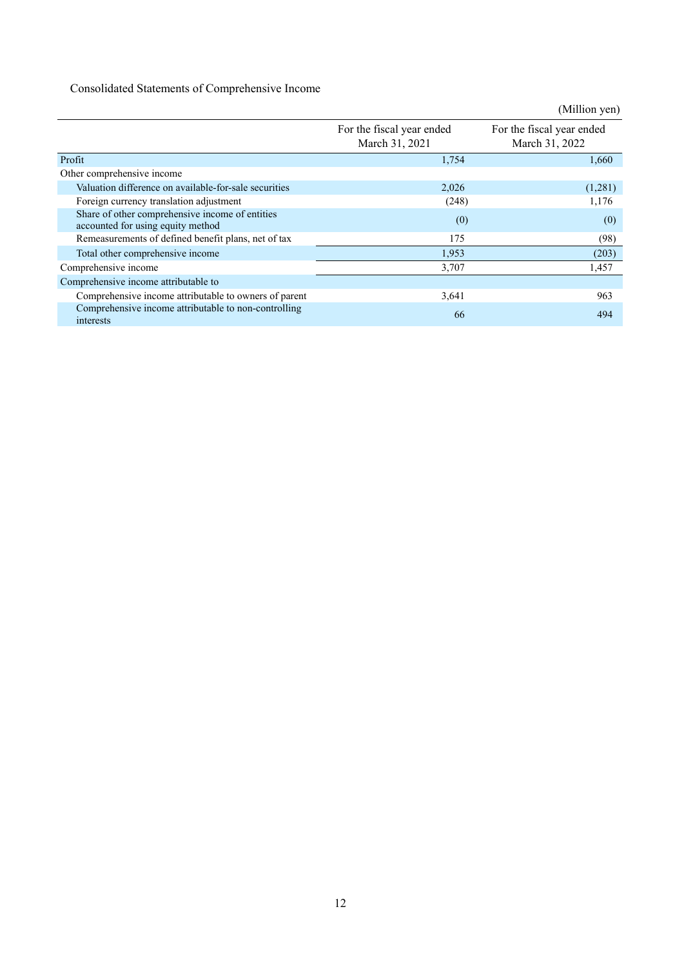Consolidated Statements of Comprehensive Income

|                                                                                      |                                             | (Million yen)                               |
|--------------------------------------------------------------------------------------|---------------------------------------------|---------------------------------------------|
|                                                                                      | For the fiscal year ended<br>March 31, 2021 | For the fiscal year ended<br>March 31, 2022 |
| Profit                                                                               | 1,754                                       | 1,660                                       |
| Other comprehensive income                                                           |                                             |                                             |
| Valuation difference on available-for-sale securities                                | 2,026                                       | (1,281)                                     |
| Foreign currency translation adjustment                                              | (248)                                       | 1,176                                       |
| Share of other comprehensive income of entities<br>accounted for using equity method | (0)                                         | (0)                                         |
| Remeasurements of defined benefit plans, net of tax                                  | 175                                         | (98)                                        |
| Total other comprehensive income                                                     | 1,953                                       | (203)                                       |
| Comprehensive income                                                                 | 3,707                                       | 1,457                                       |
| Comprehensive income attributable to                                                 |                                             |                                             |
| Comprehensive income attributable to owners of parent                                | 3,641                                       | 963                                         |
| Comprehensive income attributable to non-controlling<br>interests                    | 66                                          | 494                                         |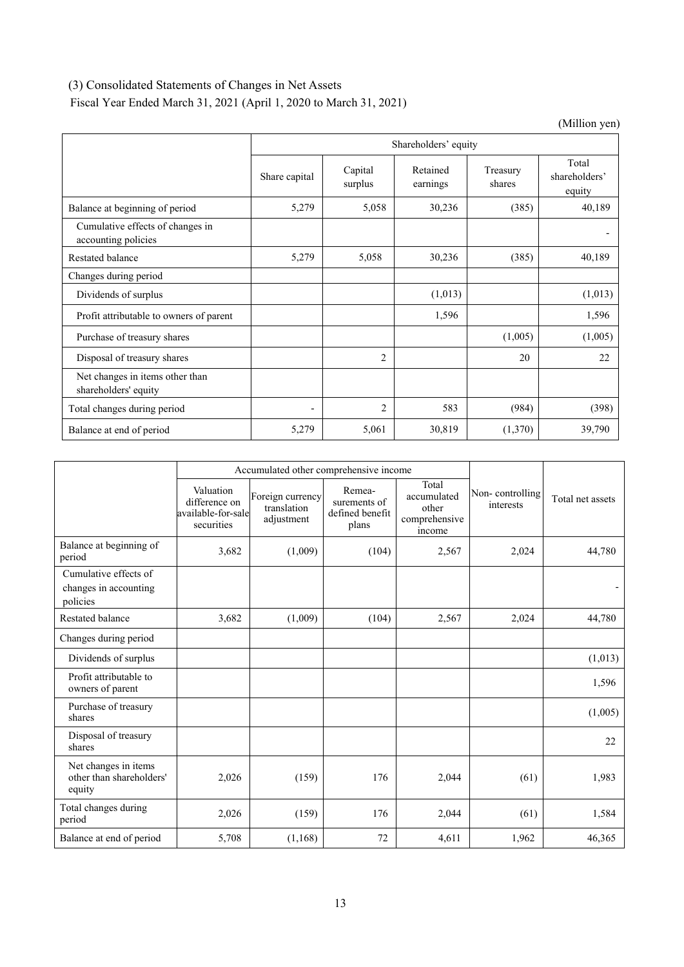(3) Consolidated Statements of Changes in Net Assets

Fiscal Year Ended March 31, 2021 (April 1, 2020 to March 31, 2021)

|                                                         | Shareholders' equity |                    |                      |                    |                                  |  |
|---------------------------------------------------------|----------------------|--------------------|----------------------|--------------------|----------------------------------|--|
|                                                         | Share capital        | Capital<br>surplus | Retained<br>earnings | Treasury<br>shares | Total<br>shareholders'<br>equity |  |
| Balance at beginning of period                          | 5,279                | 5,058              | 30,236               | (385)              | 40,189                           |  |
| Cumulative effects of changes in<br>accounting policies |                      |                    |                      |                    |                                  |  |
| <b>Restated balance</b>                                 | 5,279                | 5,058              | 30,236               | (385)              | 40,189                           |  |
| Changes during period                                   |                      |                    |                      |                    |                                  |  |
| Dividends of surplus                                    |                      |                    | (1,013)              |                    | (1,013)                          |  |
| Profit attributable to owners of parent                 |                      |                    | 1,596                |                    | 1,596                            |  |
| Purchase of treasury shares                             |                      |                    |                      | (1,005)            | (1,005)                          |  |
| Disposal of treasury shares                             |                      | $\mathfrak{D}$     |                      | 20                 | 22                               |  |
| Net changes in items other than<br>shareholders' equity |                      |                    |                      |                    |                                  |  |
| Total changes during period                             |                      | $\overline{2}$     | 583                  | (984)              | (398)                            |  |
| Balance at end of period                                | 5,279                | 5,061              | 30,819               | (1,370)            | 39,790                           |  |

|                                                            |                                                                | Accumulated other comprehensive income        |                                                    |                                                          |                              |                  |
|------------------------------------------------------------|----------------------------------------------------------------|-----------------------------------------------|----------------------------------------------------|----------------------------------------------------------|------------------------------|------------------|
|                                                            | Valuation<br>difference on<br>available-for-sale<br>securities | Foreign currency<br>translation<br>adjustment | Remea-<br>surements of<br>defined benefit<br>plans | Total<br>accumulated<br>other<br>comprehensive<br>income | Non-controlling<br>interests | Total net assets |
| Balance at beginning of<br>period                          | 3,682                                                          | (1,009)                                       | (104)                                              | 2,567                                                    | 2,024                        | 44,780           |
| Cumulative effects of<br>changes in accounting<br>policies |                                                                |                                               |                                                    |                                                          |                              |                  |
| <b>Restated balance</b>                                    | 3,682                                                          | (1,009)                                       | (104)                                              | 2,567                                                    | 2,024                        | 44,780           |
| Changes during period                                      |                                                                |                                               |                                                    |                                                          |                              |                  |
| Dividends of surplus                                       |                                                                |                                               |                                                    |                                                          |                              | (1,013)          |
| Profit attributable to<br>owners of parent                 |                                                                |                                               |                                                    |                                                          |                              | 1,596            |
| Purchase of treasury<br>shares                             |                                                                |                                               |                                                    |                                                          |                              | (1,005)          |
| Disposal of treasury<br>shares                             |                                                                |                                               |                                                    |                                                          |                              | 22               |
| Net changes in items<br>other than shareholders'<br>equity | 2,026                                                          | (159)                                         | 176                                                | 2,044                                                    | (61)                         | 1,983            |
| Total changes during<br>period                             | 2,026                                                          | (159)                                         | 176                                                | 2,044                                                    | (61)                         | 1,584            |
| Balance at end of period                                   | 5,708                                                          | (1, 168)                                      | 72                                                 | 4,611                                                    | 1,962                        | 46,365           |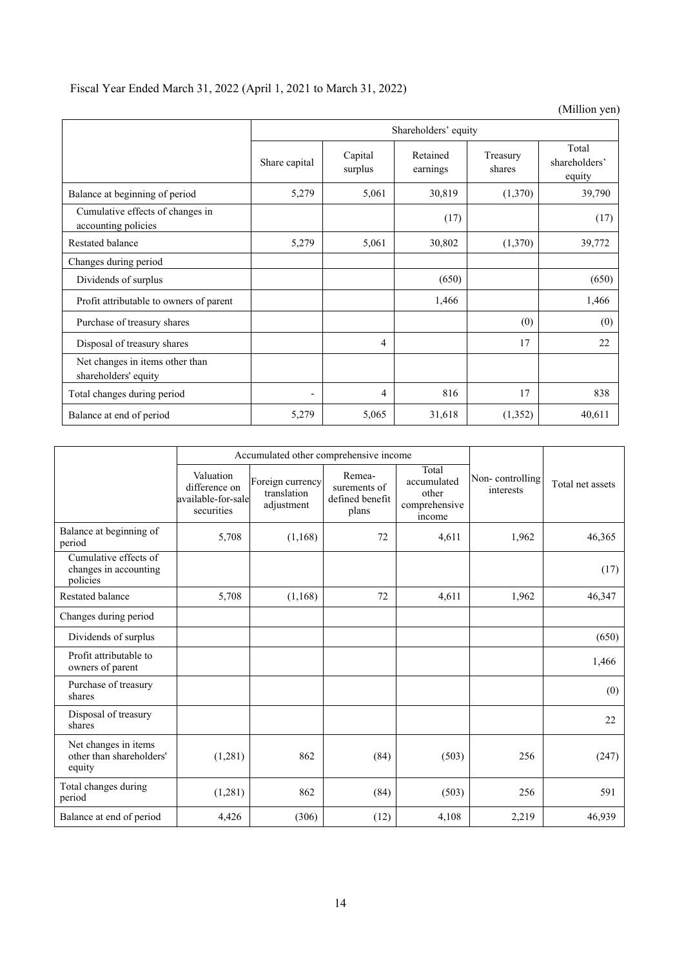## Fiscal Year Ended March 31, 2022 (April 1, 2021 to March 31, 2022)

|                                                         | Shareholders' equity |                    |                      |                    |                                  |  |
|---------------------------------------------------------|----------------------|--------------------|----------------------|--------------------|----------------------------------|--|
|                                                         | Share capital        | Capital<br>surplus | Retained<br>earnings | Treasury<br>shares | Total<br>shareholders'<br>equity |  |
| Balance at beginning of period                          | 5,279                | 5,061              | 30,819               | (1,370)            | 39,790                           |  |
| Cumulative effects of changes in<br>accounting policies |                      |                    | (17)                 |                    | (17)                             |  |
| <b>Restated balance</b>                                 | 5,279                | 5,061              | 30,802               | (1,370)            | 39,772                           |  |
| Changes during period                                   |                      |                    |                      |                    |                                  |  |
| Dividends of surplus                                    |                      |                    | (650)                |                    | (650)                            |  |
| Profit attributable to owners of parent                 |                      |                    | 1,466                |                    | 1,466                            |  |
| Purchase of treasury shares                             |                      |                    |                      | (0)                | (0)                              |  |
| Disposal of treasury shares                             |                      | 4                  |                      | 17                 | 22                               |  |
| Net changes in items other than<br>shareholders' equity |                      |                    |                      |                    |                                  |  |
| Total changes during period                             | ۰                    | 4                  | 816                  | 17                 | 838                              |  |
| Balance at end of period                                | 5,279                | 5,065              | 31,618               | (1,352)            | 40,611                           |  |

|                                                            | Accumulated other comprehensive income                         |                                               |                                                    |                                                          |                              |                  |
|------------------------------------------------------------|----------------------------------------------------------------|-----------------------------------------------|----------------------------------------------------|----------------------------------------------------------|------------------------------|------------------|
|                                                            | Valuation<br>difference on<br>available-for-sale<br>securities | Foreign currency<br>translation<br>adjustment | Remea-<br>surements of<br>defined benefit<br>plans | Total<br>accumulated<br>other<br>comprehensive<br>income | Non-controlling<br>interests | Total net assets |
| Balance at beginning of<br>period                          | 5,708                                                          | (1,168)                                       | 72                                                 | 4,611                                                    | 1,962                        | 46,365           |
| Cumulative effects of<br>changes in accounting<br>policies |                                                                |                                               |                                                    |                                                          |                              | (17)             |
| Restated balance                                           | 5,708                                                          | (1,168)                                       | 72                                                 | 4,611                                                    | 1,962                        | 46,347           |
| Changes during period                                      |                                                                |                                               |                                                    |                                                          |                              |                  |
| Dividends of surplus                                       |                                                                |                                               |                                                    |                                                          |                              | (650)            |
| Profit attributable to<br>owners of parent                 |                                                                |                                               |                                                    |                                                          |                              | 1,466            |
| Purchase of treasury<br>shares                             |                                                                |                                               |                                                    |                                                          |                              | (0)              |
| Disposal of treasury<br>shares                             |                                                                |                                               |                                                    |                                                          |                              | 22               |
| Net changes in items<br>other than shareholders'<br>equity | (1,281)                                                        | 862                                           | (84)                                               | (503)                                                    | 256                          | (247)            |
| Total changes during<br>period                             | (1,281)                                                        | 862                                           | (84)                                               | (503)                                                    | 256                          | 591              |
| Balance at end of period                                   | 4,426                                                          | (306)                                         | (12)                                               | 4,108                                                    | 2,219                        | 46,939           |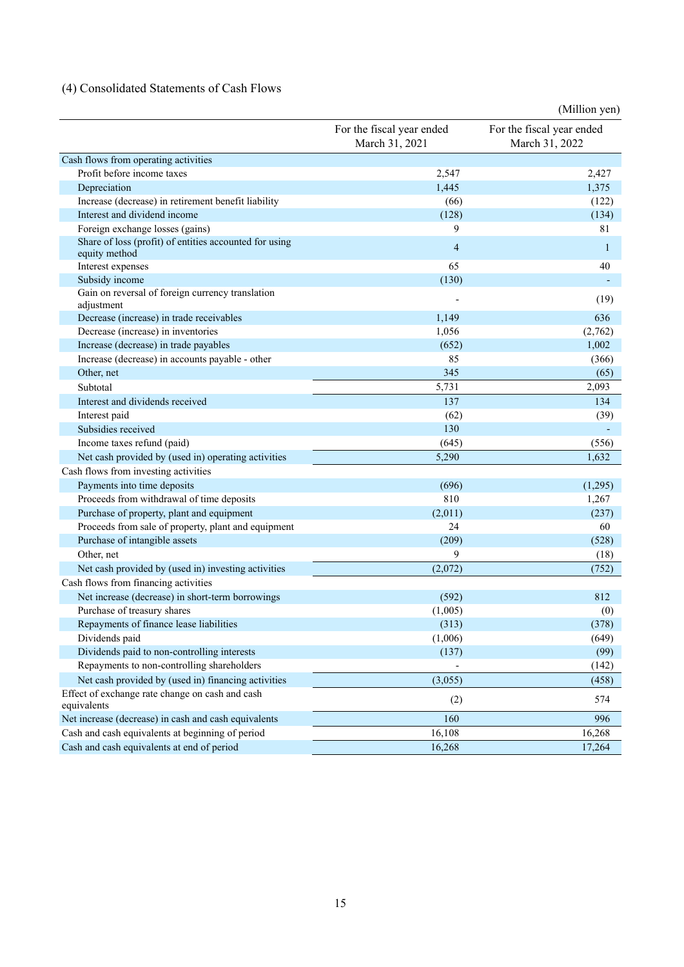## (4) Consolidated Statements of Cash Flows

| For the fiscal year ended<br>For the fiscal year ended<br>March 31, 2021<br>March 31, 2022<br>Cash flows from operating activities<br>Profit before income taxes<br>2,547<br>2,427<br>Depreciation<br>1,445<br>1,375<br>Increase (decrease) in retirement benefit liability<br>(66)<br>(122)<br>Interest and dividend income<br>(128)<br>(134)<br>Foreign exchange losses (gains)<br>81<br>9<br>Share of loss (profit) of entities accounted for using<br>$\overline{4}$<br>$\overline{1}$<br>equity method<br>65<br>Interest expenses<br>40<br>Subsidy income<br>(130)<br>Gain on reversal of foreign currency translation<br>(19)<br>adjustment<br>Decrease (increase) in trade receivables<br>1,149<br>636<br>Decrease (increase) in inventories<br>1,056<br>(2,762)<br>1,002<br>Increase (decrease) in trade payables<br>(652)<br>Increase (decrease) in accounts payable - other<br>85<br>(366)<br>Other, net<br>345<br>(65)<br>2,093<br>Subtotal<br>5,731<br>Interest and dividends received<br>137<br>134<br>Interest paid<br>(62)<br>(39)<br>Subsidies received<br>130<br>Income taxes refund (paid)<br>(645)<br>(556)<br>Net cash provided by (used in) operating activities<br>5,290<br>1,632<br>Cash flows from investing activities<br>Payments into time deposits<br>(696)<br>(1,295)<br>810<br>Proceeds from withdrawal of time deposits<br>1,267<br>Purchase of property, plant and equipment<br>(2,011)<br>(237)<br>Proceeds from sale of property, plant and equipment<br>24<br>60<br>Purchase of intangible assets<br>(209)<br>(528)<br>Other, net<br>9<br>(18)<br>Net cash provided by (used in) investing activities<br>(2,072)<br>(752)<br>Cash flows from financing activities<br>Net increase (decrease) in short-term borrowings<br>812<br>(592)<br>Purchase of treasury shares<br>(1,005)<br>(0)<br>(378)<br>Repayments of finance lease liabilities<br>(313)<br>Dividends paid<br>(1,006)<br>(649)<br>Dividends paid to non-controlling interests<br>(137)<br>(99)<br>Repayments to non-controlling shareholders<br>(142)<br>Net cash provided by (used in) financing activities<br>(3,055)<br>(458)<br>Effect of exchange rate change on cash and cash<br>574<br>(2)<br>equivalents<br>160<br>996<br>Net increase (decrease) in cash and cash equivalents<br>Cash and cash equivalents at beginning of period<br>16,108<br>16,268<br>Cash and cash equivalents at end of period<br>16,268<br>17,264 |  | (Million yen) |
|--------------------------------------------------------------------------------------------------------------------------------------------------------------------------------------------------------------------------------------------------------------------------------------------------------------------------------------------------------------------------------------------------------------------------------------------------------------------------------------------------------------------------------------------------------------------------------------------------------------------------------------------------------------------------------------------------------------------------------------------------------------------------------------------------------------------------------------------------------------------------------------------------------------------------------------------------------------------------------------------------------------------------------------------------------------------------------------------------------------------------------------------------------------------------------------------------------------------------------------------------------------------------------------------------------------------------------------------------------------------------------------------------------------------------------------------------------------------------------------------------------------------------------------------------------------------------------------------------------------------------------------------------------------------------------------------------------------------------------------------------------------------------------------------------------------------------------------------------------------------------------------------------------------------------------------------------------------------------------------------------------------------------------------------------------------------------------------------------------------------------------------------------------------------------------------------------------------------------------------------------------------------------------------------------------------------------------------------------------------------------------------------------------------------------------|--|---------------|
|                                                                                                                                                                                                                                                                                                                                                                                                                                                                                                                                                                                                                                                                                                                                                                                                                                                                                                                                                                                                                                                                                                                                                                                                                                                                                                                                                                                                                                                                                                                                                                                                                                                                                                                                                                                                                                                                                                                                                                                                                                                                                                                                                                                                                                                                                                                                                                                                                                |  |               |
|                                                                                                                                                                                                                                                                                                                                                                                                                                                                                                                                                                                                                                                                                                                                                                                                                                                                                                                                                                                                                                                                                                                                                                                                                                                                                                                                                                                                                                                                                                                                                                                                                                                                                                                                                                                                                                                                                                                                                                                                                                                                                                                                                                                                                                                                                                                                                                                                                                |  |               |
|                                                                                                                                                                                                                                                                                                                                                                                                                                                                                                                                                                                                                                                                                                                                                                                                                                                                                                                                                                                                                                                                                                                                                                                                                                                                                                                                                                                                                                                                                                                                                                                                                                                                                                                                                                                                                                                                                                                                                                                                                                                                                                                                                                                                                                                                                                                                                                                                                                |  |               |
|                                                                                                                                                                                                                                                                                                                                                                                                                                                                                                                                                                                                                                                                                                                                                                                                                                                                                                                                                                                                                                                                                                                                                                                                                                                                                                                                                                                                                                                                                                                                                                                                                                                                                                                                                                                                                                                                                                                                                                                                                                                                                                                                                                                                                                                                                                                                                                                                                                |  |               |
|                                                                                                                                                                                                                                                                                                                                                                                                                                                                                                                                                                                                                                                                                                                                                                                                                                                                                                                                                                                                                                                                                                                                                                                                                                                                                                                                                                                                                                                                                                                                                                                                                                                                                                                                                                                                                                                                                                                                                                                                                                                                                                                                                                                                                                                                                                                                                                                                                                |  |               |
|                                                                                                                                                                                                                                                                                                                                                                                                                                                                                                                                                                                                                                                                                                                                                                                                                                                                                                                                                                                                                                                                                                                                                                                                                                                                                                                                                                                                                                                                                                                                                                                                                                                                                                                                                                                                                                                                                                                                                                                                                                                                                                                                                                                                                                                                                                                                                                                                                                |  |               |
|                                                                                                                                                                                                                                                                                                                                                                                                                                                                                                                                                                                                                                                                                                                                                                                                                                                                                                                                                                                                                                                                                                                                                                                                                                                                                                                                                                                                                                                                                                                                                                                                                                                                                                                                                                                                                                                                                                                                                                                                                                                                                                                                                                                                                                                                                                                                                                                                                                |  |               |
|                                                                                                                                                                                                                                                                                                                                                                                                                                                                                                                                                                                                                                                                                                                                                                                                                                                                                                                                                                                                                                                                                                                                                                                                                                                                                                                                                                                                                                                                                                                                                                                                                                                                                                                                                                                                                                                                                                                                                                                                                                                                                                                                                                                                                                                                                                                                                                                                                                |  |               |
|                                                                                                                                                                                                                                                                                                                                                                                                                                                                                                                                                                                                                                                                                                                                                                                                                                                                                                                                                                                                                                                                                                                                                                                                                                                                                                                                                                                                                                                                                                                                                                                                                                                                                                                                                                                                                                                                                                                                                                                                                                                                                                                                                                                                                                                                                                                                                                                                                                |  |               |
|                                                                                                                                                                                                                                                                                                                                                                                                                                                                                                                                                                                                                                                                                                                                                                                                                                                                                                                                                                                                                                                                                                                                                                                                                                                                                                                                                                                                                                                                                                                                                                                                                                                                                                                                                                                                                                                                                                                                                                                                                                                                                                                                                                                                                                                                                                                                                                                                                                |  |               |
|                                                                                                                                                                                                                                                                                                                                                                                                                                                                                                                                                                                                                                                                                                                                                                                                                                                                                                                                                                                                                                                                                                                                                                                                                                                                                                                                                                                                                                                                                                                                                                                                                                                                                                                                                                                                                                                                                                                                                                                                                                                                                                                                                                                                                                                                                                                                                                                                                                |  |               |
|                                                                                                                                                                                                                                                                                                                                                                                                                                                                                                                                                                                                                                                                                                                                                                                                                                                                                                                                                                                                                                                                                                                                                                                                                                                                                                                                                                                                                                                                                                                                                                                                                                                                                                                                                                                                                                                                                                                                                                                                                                                                                                                                                                                                                                                                                                                                                                                                                                |  |               |
|                                                                                                                                                                                                                                                                                                                                                                                                                                                                                                                                                                                                                                                                                                                                                                                                                                                                                                                                                                                                                                                                                                                                                                                                                                                                                                                                                                                                                                                                                                                                                                                                                                                                                                                                                                                                                                                                                                                                                                                                                                                                                                                                                                                                                                                                                                                                                                                                                                |  |               |
|                                                                                                                                                                                                                                                                                                                                                                                                                                                                                                                                                                                                                                                                                                                                                                                                                                                                                                                                                                                                                                                                                                                                                                                                                                                                                                                                                                                                                                                                                                                                                                                                                                                                                                                                                                                                                                                                                                                                                                                                                                                                                                                                                                                                                                                                                                                                                                                                                                |  |               |
|                                                                                                                                                                                                                                                                                                                                                                                                                                                                                                                                                                                                                                                                                                                                                                                                                                                                                                                                                                                                                                                                                                                                                                                                                                                                                                                                                                                                                                                                                                                                                                                                                                                                                                                                                                                                                                                                                                                                                                                                                                                                                                                                                                                                                                                                                                                                                                                                                                |  |               |
|                                                                                                                                                                                                                                                                                                                                                                                                                                                                                                                                                                                                                                                                                                                                                                                                                                                                                                                                                                                                                                                                                                                                                                                                                                                                                                                                                                                                                                                                                                                                                                                                                                                                                                                                                                                                                                                                                                                                                                                                                                                                                                                                                                                                                                                                                                                                                                                                                                |  |               |
|                                                                                                                                                                                                                                                                                                                                                                                                                                                                                                                                                                                                                                                                                                                                                                                                                                                                                                                                                                                                                                                                                                                                                                                                                                                                                                                                                                                                                                                                                                                                                                                                                                                                                                                                                                                                                                                                                                                                                                                                                                                                                                                                                                                                                                                                                                                                                                                                                                |  |               |
|                                                                                                                                                                                                                                                                                                                                                                                                                                                                                                                                                                                                                                                                                                                                                                                                                                                                                                                                                                                                                                                                                                                                                                                                                                                                                                                                                                                                                                                                                                                                                                                                                                                                                                                                                                                                                                                                                                                                                                                                                                                                                                                                                                                                                                                                                                                                                                                                                                |  |               |
|                                                                                                                                                                                                                                                                                                                                                                                                                                                                                                                                                                                                                                                                                                                                                                                                                                                                                                                                                                                                                                                                                                                                                                                                                                                                                                                                                                                                                                                                                                                                                                                                                                                                                                                                                                                                                                                                                                                                                                                                                                                                                                                                                                                                                                                                                                                                                                                                                                |  |               |
|                                                                                                                                                                                                                                                                                                                                                                                                                                                                                                                                                                                                                                                                                                                                                                                                                                                                                                                                                                                                                                                                                                                                                                                                                                                                                                                                                                                                                                                                                                                                                                                                                                                                                                                                                                                                                                                                                                                                                                                                                                                                                                                                                                                                                                                                                                                                                                                                                                |  |               |
|                                                                                                                                                                                                                                                                                                                                                                                                                                                                                                                                                                                                                                                                                                                                                                                                                                                                                                                                                                                                                                                                                                                                                                                                                                                                                                                                                                                                                                                                                                                                                                                                                                                                                                                                                                                                                                                                                                                                                                                                                                                                                                                                                                                                                                                                                                                                                                                                                                |  |               |
|                                                                                                                                                                                                                                                                                                                                                                                                                                                                                                                                                                                                                                                                                                                                                                                                                                                                                                                                                                                                                                                                                                                                                                                                                                                                                                                                                                                                                                                                                                                                                                                                                                                                                                                                                                                                                                                                                                                                                                                                                                                                                                                                                                                                                                                                                                                                                                                                                                |  |               |
|                                                                                                                                                                                                                                                                                                                                                                                                                                                                                                                                                                                                                                                                                                                                                                                                                                                                                                                                                                                                                                                                                                                                                                                                                                                                                                                                                                                                                                                                                                                                                                                                                                                                                                                                                                                                                                                                                                                                                                                                                                                                                                                                                                                                                                                                                                                                                                                                                                |  |               |
|                                                                                                                                                                                                                                                                                                                                                                                                                                                                                                                                                                                                                                                                                                                                                                                                                                                                                                                                                                                                                                                                                                                                                                                                                                                                                                                                                                                                                                                                                                                                                                                                                                                                                                                                                                                                                                                                                                                                                                                                                                                                                                                                                                                                                                                                                                                                                                                                                                |  |               |
|                                                                                                                                                                                                                                                                                                                                                                                                                                                                                                                                                                                                                                                                                                                                                                                                                                                                                                                                                                                                                                                                                                                                                                                                                                                                                                                                                                                                                                                                                                                                                                                                                                                                                                                                                                                                                                                                                                                                                                                                                                                                                                                                                                                                                                                                                                                                                                                                                                |  |               |
|                                                                                                                                                                                                                                                                                                                                                                                                                                                                                                                                                                                                                                                                                                                                                                                                                                                                                                                                                                                                                                                                                                                                                                                                                                                                                                                                                                                                                                                                                                                                                                                                                                                                                                                                                                                                                                                                                                                                                                                                                                                                                                                                                                                                                                                                                                                                                                                                                                |  |               |
|                                                                                                                                                                                                                                                                                                                                                                                                                                                                                                                                                                                                                                                                                                                                                                                                                                                                                                                                                                                                                                                                                                                                                                                                                                                                                                                                                                                                                                                                                                                                                                                                                                                                                                                                                                                                                                                                                                                                                                                                                                                                                                                                                                                                                                                                                                                                                                                                                                |  |               |
|                                                                                                                                                                                                                                                                                                                                                                                                                                                                                                                                                                                                                                                                                                                                                                                                                                                                                                                                                                                                                                                                                                                                                                                                                                                                                                                                                                                                                                                                                                                                                                                                                                                                                                                                                                                                                                                                                                                                                                                                                                                                                                                                                                                                                                                                                                                                                                                                                                |  |               |
|                                                                                                                                                                                                                                                                                                                                                                                                                                                                                                                                                                                                                                                                                                                                                                                                                                                                                                                                                                                                                                                                                                                                                                                                                                                                                                                                                                                                                                                                                                                                                                                                                                                                                                                                                                                                                                                                                                                                                                                                                                                                                                                                                                                                                                                                                                                                                                                                                                |  |               |
|                                                                                                                                                                                                                                                                                                                                                                                                                                                                                                                                                                                                                                                                                                                                                                                                                                                                                                                                                                                                                                                                                                                                                                                                                                                                                                                                                                                                                                                                                                                                                                                                                                                                                                                                                                                                                                                                                                                                                                                                                                                                                                                                                                                                                                                                                                                                                                                                                                |  |               |
|                                                                                                                                                                                                                                                                                                                                                                                                                                                                                                                                                                                                                                                                                                                                                                                                                                                                                                                                                                                                                                                                                                                                                                                                                                                                                                                                                                                                                                                                                                                                                                                                                                                                                                                                                                                                                                                                                                                                                                                                                                                                                                                                                                                                                                                                                                                                                                                                                                |  |               |
|                                                                                                                                                                                                                                                                                                                                                                                                                                                                                                                                                                                                                                                                                                                                                                                                                                                                                                                                                                                                                                                                                                                                                                                                                                                                                                                                                                                                                                                                                                                                                                                                                                                                                                                                                                                                                                                                                                                                                                                                                                                                                                                                                                                                                                                                                                                                                                                                                                |  |               |
|                                                                                                                                                                                                                                                                                                                                                                                                                                                                                                                                                                                                                                                                                                                                                                                                                                                                                                                                                                                                                                                                                                                                                                                                                                                                                                                                                                                                                                                                                                                                                                                                                                                                                                                                                                                                                                                                                                                                                                                                                                                                                                                                                                                                                                                                                                                                                                                                                                |  |               |
|                                                                                                                                                                                                                                                                                                                                                                                                                                                                                                                                                                                                                                                                                                                                                                                                                                                                                                                                                                                                                                                                                                                                                                                                                                                                                                                                                                                                                                                                                                                                                                                                                                                                                                                                                                                                                                                                                                                                                                                                                                                                                                                                                                                                                                                                                                                                                                                                                                |  |               |
|                                                                                                                                                                                                                                                                                                                                                                                                                                                                                                                                                                                                                                                                                                                                                                                                                                                                                                                                                                                                                                                                                                                                                                                                                                                                                                                                                                                                                                                                                                                                                                                                                                                                                                                                                                                                                                                                                                                                                                                                                                                                                                                                                                                                                                                                                                                                                                                                                                |  |               |
|                                                                                                                                                                                                                                                                                                                                                                                                                                                                                                                                                                                                                                                                                                                                                                                                                                                                                                                                                                                                                                                                                                                                                                                                                                                                                                                                                                                                                                                                                                                                                                                                                                                                                                                                                                                                                                                                                                                                                                                                                                                                                                                                                                                                                                                                                                                                                                                                                                |  |               |
|                                                                                                                                                                                                                                                                                                                                                                                                                                                                                                                                                                                                                                                                                                                                                                                                                                                                                                                                                                                                                                                                                                                                                                                                                                                                                                                                                                                                                                                                                                                                                                                                                                                                                                                                                                                                                                                                                                                                                                                                                                                                                                                                                                                                                                                                                                                                                                                                                                |  |               |
|                                                                                                                                                                                                                                                                                                                                                                                                                                                                                                                                                                                                                                                                                                                                                                                                                                                                                                                                                                                                                                                                                                                                                                                                                                                                                                                                                                                                                                                                                                                                                                                                                                                                                                                                                                                                                                                                                                                                                                                                                                                                                                                                                                                                                                                                                                                                                                                                                                |  |               |
|                                                                                                                                                                                                                                                                                                                                                                                                                                                                                                                                                                                                                                                                                                                                                                                                                                                                                                                                                                                                                                                                                                                                                                                                                                                                                                                                                                                                                                                                                                                                                                                                                                                                                                                                                                                                                                                                                                                                                                                                                                                                                                                                                                                                                                                                                                                                                                                                                                |  |               |
|                                                                                                                                                                                                                                                                                                                                                                                                                                                                                                                                                                                                                                                                                                                                                                                                                                                                                                                                                                                                                                                                                                                                                                                                                                                                                                                                                                                                                                                                                                                                                                                                                                                                                                                                                                                                                                                                                                                                                                                                                                                                                                                                                                                                                                                                                                                                                                                                                                |  |               |
|                                                                                                                                                                                                                                                                                                                                                                                                                                                                                                                                                                                                                                                                                                                                                                                                                                                                                                                                                                                                                                                                                                                                                                                                                                                                                                                                                                                                                                                                                                                                                                                                                                                                                                                                                                                                                                                                                                                                                                                                                                                                                                                                                                                                                                                                                                                                                                                                                                |  |               |
|                                                                                                                                                                                                                                                                                                                                                                                                                                                                                                                                                                                                                                                                                                                                                                                                                                                                                                                                                                                                                                                                                                                                                                                                                                                                                                                                                                                                                                                                                                                                                                                                                                                                                                                                                                                                                                                                                                                                                                                                                                                                                                                                                                                                                                                                                                                                                                                                                                |  |               |
|                                                                                                                                                                                                                                                                                                                                                                                                                                                                                                                                                                                                                                                                                                                                                                                                                                                                                                                                                                                                                                                                                                                                                                                                                                                                                                                                                                                                                                                                                                                                                                                                                                                                                                                                                                                                                                                                                                                                                                                                                                                                                                                                                                                                                                                                                                                                                                                                                                |  |               |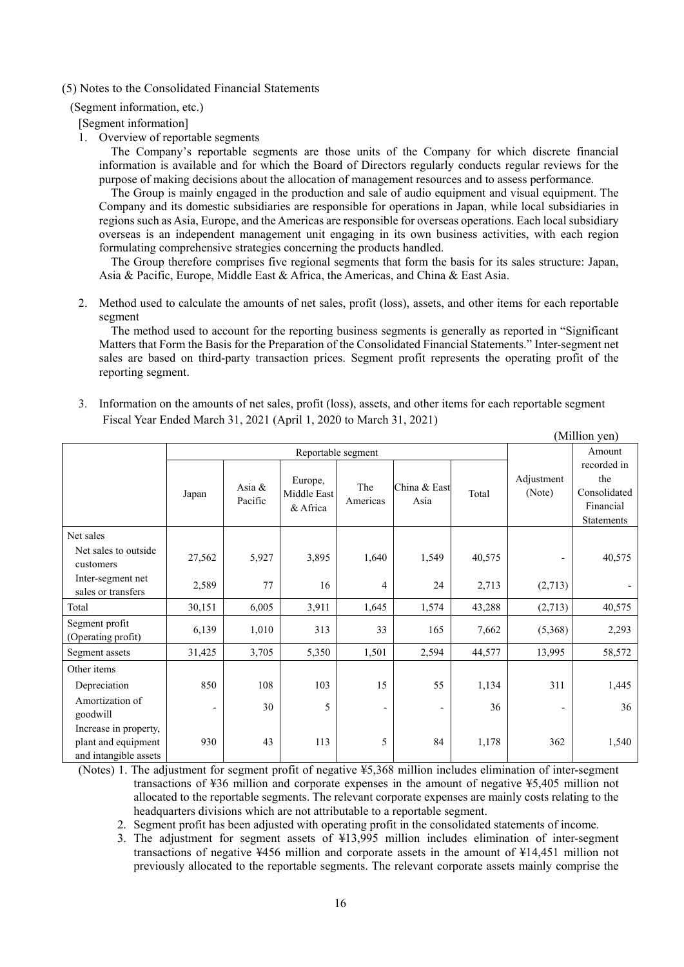#### (5) Notes to the Consolidated Financial Statements

(Segment information, etc.)

[Segment information]

1. Overview of reportable segments

The Company's reportable segments are those units of the Company for which discrete financial information is available and for which the Board of Directors regularly conducts regular reviews for the purpose of making decisions about the allocation of management resources and to assess performance.

The Group is mainly engaged in the production and sale of audio equipment and visual equipment. The Company and its domestic subsidiaries are responsible for operations in Japan, while local subsidiaries in regions such as Asia, Europe, and the Americas are responsible for overseas operations. Each local subsidiary overseas is an independent management unit engaging in its own business activities, with each region formulating comprehensive strategies concerning the products handled.

The Group therefore comprises five regional segments that form the basis for its sales structure: Japan, Asia & Pacific, Europe, Middle East & Africa, the Americas, and China & East Asia.

2. Method used to calculate the amounts of net sales, profit (loss), assets, and other items for each reportable segment

The method used to account for the reporting business segments is generally as reported in "Significant Matters that Form the Basis for the Preparation of the Consolidated Financial Statements." Inter-segment net sales are based on third-party transaction prices. Segment profit represents the operating profit of the reporting segment.

 $(M11)_{\text{on}}$  year)

3. Information on the amounts of net sales, profit (loss), assets, and other items for each reportable segment Fiscal Year Ended March 31, 2021 (April 1, 2020 to March 31, 2021)

|                                                                       |                    |                      |                                    |                          |                          |        |                      | TMIIIIOII ACII)                                                      |
|-----------------------------------------------------------------------|--------------------|----------------------|------------------------------------|--------------------------|--------------------------|--------|----------------------|----------------------------------------------------------------------|
|                                                                       | Reportable segment |                      |                                    |                          |                          |        |                      | Amount                                                               |
|                                                                       | Japan              | Asia $\&$<br>Pacific | Europe,<br>Middle East<br>& Africa | The<br>Americas          | China & East<br>Asia     | Total  | Adjustment<br>(Note) | recorded in<br>the<br>Consolidated<br>Financial<br><b>Statements</b> |
| Net sales                                                             |                    |                      |                                    |                          |                          |        |                      |                                                                      |
| Net sales to outside<br>customers                                     | 27,562             | 5,927                | 3,895                              | 1,640                    | 1,549                    | 40,575 |                      | 40,575                                                               |
| Inter-segment net<br>sales or transfers                               | 2,589              | 77                   | 16                                 | 4                        | 24                       | 2,713  | (2,713)              |                                                                      |
| Total                                                                 | 30,151             | 6,005                | 3,911                              | 1,645                    | 1,574                    | 43,288 | (2,713)              | 40,575                                                               |
| Segment profit<br>(Operating profit)                                  | 6,139              | 1,010                | 313                                | 33                       | 165                      | 7,662  | (5,368)              | 2,293                                                                |
| Segment assets                                                        | 31,425             | 3,705                | 5,350                              | 1,501                    | 2,594                    | 44,577 | 13,995               | 58,572                                                               |
| Other items                                                           |                    |                      |                                    |                          |                          |        |                      |                                                                      |
| Depreciation                                                          | 850                | 108                  | 103                                | 15                       | 55                       | 1,134  | 311                  | 1,445                                                                |
| Amortization of<br>goodwill                                           |                    | 30                   | 5                                  | $\overline{\phantom{a}}$ | $\overline{\phantom{a}}$ | 36     |                      | 36                                                                   |
| Increase in property,<br>plant and equipment<br>and intangible assets | 930                | 43                   | 113                                | 5                        | 84                       | 1,178  | 362                  | 1,540                                                                |

(Notes) 1. The adjustment for segment profit of negative ¥5,368 million includes elimination of inter-segment transactions of ¥36 million and corporate expenses in the amount of negative ¥5,405 million not allocated to the reportable segments. The relevant corporate expenses are mainly costs relating to the headquarters divisions which are not attributable to a reportable segment.

2. Segment profit has been adjusted with operating profit in the consolidated statements of income.

3. The adjustment for segment assets of ¥13,995 million includes elimination of inter-segment transactions of negative ¥456 million and corporate assets in the amount of ¥14,451 million not previously allocated to the reportable segments. The relevant corporate assets mainly comprise the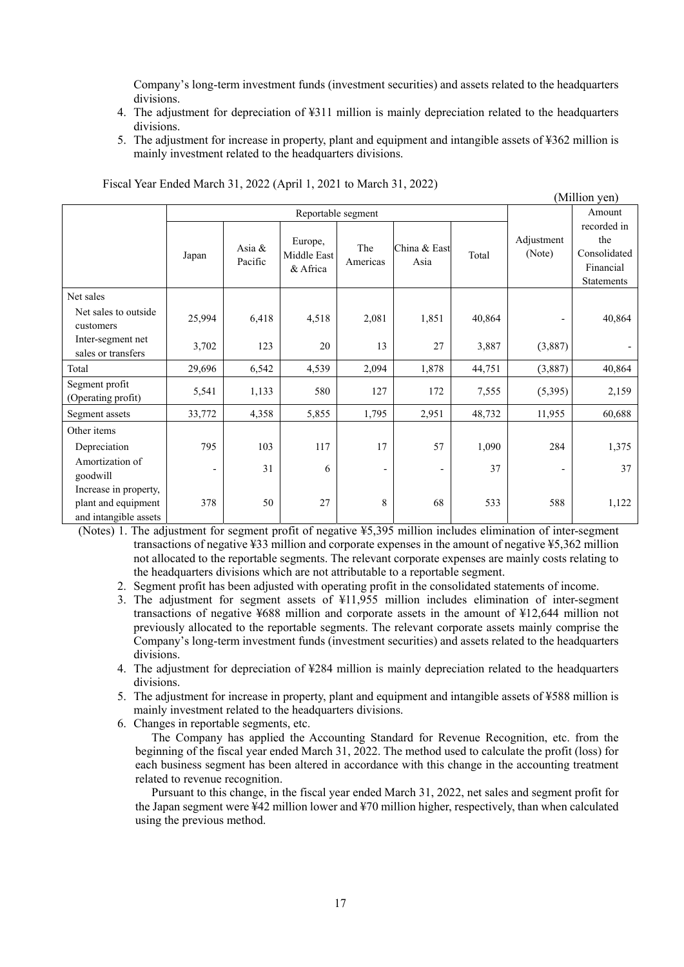Company's long-term investment funds (investment securities) and assets related to the headquarters divisions.

- 4. The adjustment for depreciation of ¥311 million is mainly depreciation related to the headquarters divisions.
- 5. The adjustment for increase in property, plant and equipment and intangible assets of ¥362 million is mainly investment related to the headquarters divisions.

|                                                                       |                    |                      |                                    |                          |                      |        |                      | (Million yen)                                                        |
|-----------------------------------------------------------------------|--------------------|----------------------|------------------------------------|--------------------------|----------------------|--------|----------------------|----------------------------------------------------------------------|
|                                                                       | Reportable segment |                      |                                    |                          |                      |        |                      | Amount                                                               |
|                                                                       | Japan              | Asia $\&$<br>Pacific | Europe,<br>Middle East<br>& Africa | The<br>Americas          | China & East<br>Asia | Total  | Adjustment<br>(Note) | recorded in<br>the<br>Consolidated<br>Financial<br><b>Statements</b> |
| Net sales                                                             |                    |                      |                                    |                          |                      |        |                      |                                                                      |
| Net sales to outside<br>customers                                     | 25,994             | 6,418                | 4,518                              | 2,081                    | 1,851                | 40,864 |                      | 40,864                                                               |
| Inter-segment net<br>sales or transfers                               | 3,702              | 123                  | 20                                 | 13                       | 27                   | 3,887  | (3,887)              |                                                                      |
| Total                                                                 | 29,696             | 6,542                | 4,539                              | 2,094                    | 1,878                | 44,751 | (3,887)              | 40,864                                                               |
| Segment profit<br>(Operating profit)                                  | 5,541              | 1,133                | 580                                | 127                      | 172                  | 7,555  | (5,395)              | 2,159                                                                |
| Segment assets                                                        | 33,772             | 4,358                | 5,855                              | 1,795                    | 2,951                | 48,732 | 11,955               | 60,688                                                               |
| Other items                                                           |                    |                      |                                    |                          |                      |        |                      |                                                                      |
| Depreciation                                                          | 795                | 103                  | 117                                | 17                       | 57                   | 1,090  | 284                  | 1,375                                                                |
| Amortization of<br>goodwill                                           |                    | 31                   | 6                                  | $\overline{\phantom{a}}$ |                      | 37     |                      | 37                                                                   |
| Increase in property,<br>plant and equipment<br>and intangible assets | 378                | 50                   | 27                                 | 8                        | 68                   | 533    | 588                  | 1,122                                                                |

Fiscal Year Ended March 31, 2022 (April 1, 2021 to March 31, 2022)

(Notes) 1. The adjustment for segment profit of negative ¥5,395 million includes elimination of inter-segment transactions of negative ¥33 million and corporate expenses in the amount of negative ¥5,362 million not allocated to the reportable segments. The relevant corporate expenses are mainly costs relating to the headquarters divisions which are not attributable to a reportable segment.

- 2. Segment profit has been adjusted with operating profit in the consolidated statements of income.
- 3. The adjustment for segment assets of ¥11,955 million includes elimination of inter-segment transactions of negative ¥688 million and corporate assets in the amount of ¥12,644 million not previously allocated to the reportable segments. The relevant corporate assets mainly comprise the Company's long-term investment funds (investment securities) and assets related to the headquarters divisions.
- 4. The adjustment for depreciation of ¥284 million is mainly depreciation related to the headquarters divisions.
- 5. The adjustment for increase in property, plant and equipment and intangible assets of ¥588 million is mainly investment related to the headquarters divisions.
- 6. Changes in reportable segments, etc.

The Company has applied the Accounting Standard for Revenue Recognition, etc. from the beginning of the fiscal year ended March 31, 2022. The method used to calculate the profit (loss) for each business segment has been altered in accordance with this change in the accounting treatment related to revenue recognition.

Pursuant to this change, in the fiscal year ended March 31, 2022, net sales and segment profit for the Japan segment were ¥42 million lower and ¥70 million higher, respectively, than when calculated using the previous method.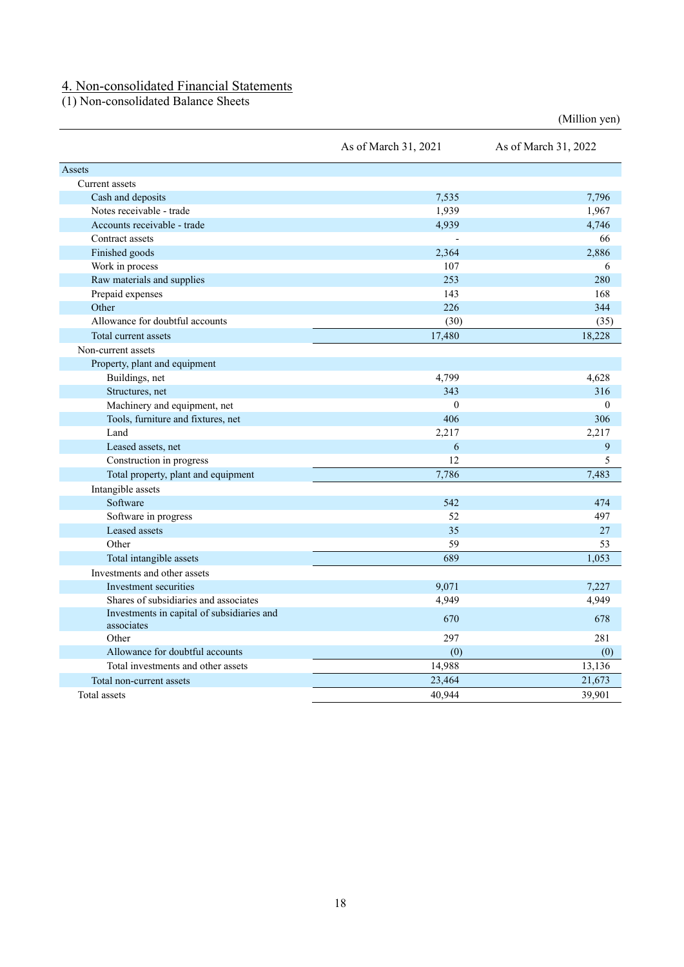## 4. Non-consolidated Financial Statements

(1) Non-consolidated Balance Sheets

As of March 31, 2021 As of March 31, 2022 Assets Current assets Cash and deposits 7,796 7,796 7,796 7,796 7,796 7,796 7,796 7,796 7,796 7,796 7,796 7,796 7,796 7,796 7,796 7,796 Notes receivable - trade 1,939 1,967 Accounts receivable - trade 4,939 4,746 Contract assets 66 Finished goods 2,886 2,886 2,886 2,886 2,886 2,886 2,886 2,886 2,886 2,886 2,886 2,886 2,886 2,886 2,886 2,886 Work in process 107 6 Raw materials and supplies 253 280 Prepaid expenses 143 168 Other  $226$  344 Allowance for doubtful accounts (30) (35) Total current assets 17,480 18,228 Non-current assets Property, plant and equipment Buildings, net 4,628 Structures, net 343 316 Machinery and equipment, net 0 0 Tools, furniture and fixtures, net 406 306 Land 2,217 2,217 2,217 Leased assets, net 6 9 Construction in progress 12 5 Total property, plant and equipment 7,786 7,483 Intangible assets Software  $542$  474 Software in progress 52 497 Leased assets 27 Other 59 53 Total intangible assets 1,053 Investments and other assets Investment securities 8,071 7,227 Shares of subsidiaries and associates 4,949 4,949 4,949 4,949 Investments in capital of subsidiaries and associates 670 678 Other 297 281 Allowance for doubtful accounts (0) (0) (0) Total investments and other assets 14,988 13,136 Total non-current assets 23,464 21,673

(Million yen)

Total assets 39,901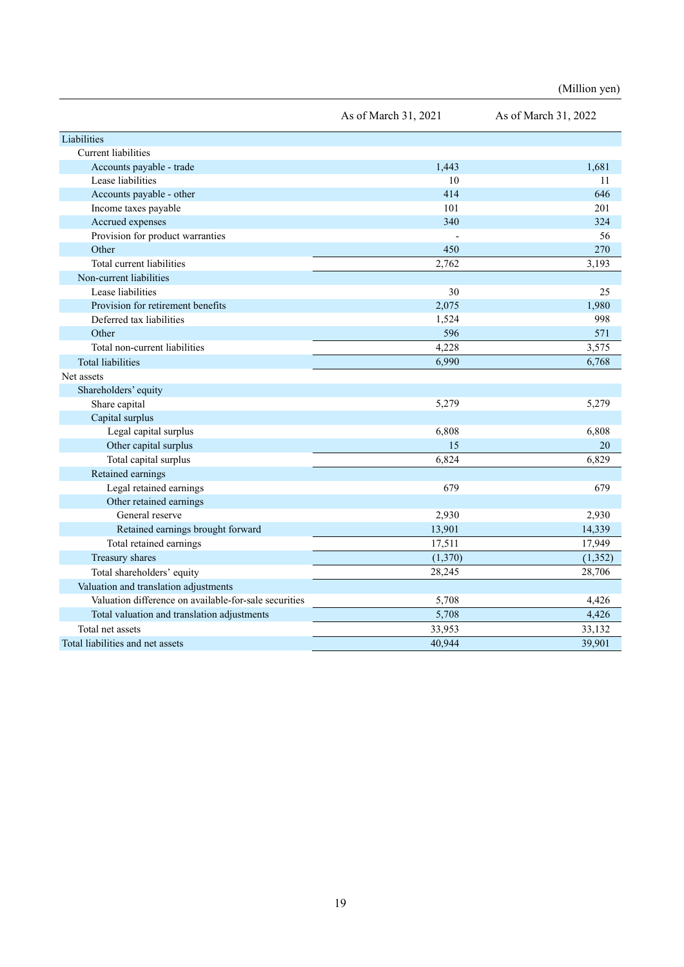|                                                       | As of March 31, 2021 | As of March 31, 2022 |
|-------------------------------------------------------|----------------------|----------------------|
| Liabilities                                           |                      |                      |
| Current liabilities                                   |                      |                      |
| Accounts payable - trade                              | 1,443                | 1,681                |
| Lease liabilities                                     | 10                   | 11                   |
| Accounts payable - other                              | 414                  | 646                  |
| Income taxes payable                                  | 101                  | 201                  |
| Accrued expenses                                      | 340                  | 324                  |
| Provision for product warranties                      |                      | 56                   |
| Other                                                 | 450                  | 270                  |
| Total current liabilities                             | 2,762                | 3,193                |
| Non-current liabilities                               |                      |                      |
| Lease liabilities                                     | 30                   | 25                   |
| Provision for retirement benefits                     | 2,075                | 1,980                |
| Deferred tax liabilities                              | 1,524                | 998                  |
| Other                                                 | 596                  | 571                  |
| Total non-current liabilities                         | 4,228                | 3,575                |
| <b>Total liabilities</b>                              | 6,990                | 6,768                |
| Net assets                                            |                      |                      |
| Shareholders' equity                                  |                      |                      |
| Share capital                                         | 5,279                | 5,279                |
| Capital surplus                                       |                      |                      |
| Legal capital surplus                                 | 6,808                | 6,808                |
| Other capital surplus                                 | 15                   | 20                   |
| Total capital surplus                                 | 6,824                | 6,829                |
| Retained earnings                                     |                      |                      |
| Legal retained earnings                               | 679                  | 679                  |
| Other retained earnings                               |                      |                      |
| General reserve                                       | 2,930                | 2,930                |
| Retained earnings brought forward                     | 13,901               | 14,339               |
| Total retained earnings                               | 17,511               | 17,949               |
| Treasury shares                                       | (1,370)              | (1, 352)             |
| Total shareholders' equity                            | 28,245               | 28,706               |
| Valuation and translation adjustments                 |                      |                      |
| Valuation difference on available-for-sale securities | 5,708                | 4,426                |
| Total valuation and translation adjustments           | 5,708                | 4,426                |
| Total net assets                                      | 33,953               | 33,132               |
| Total liabilities and net assets                      | 40,944               | 39,901               |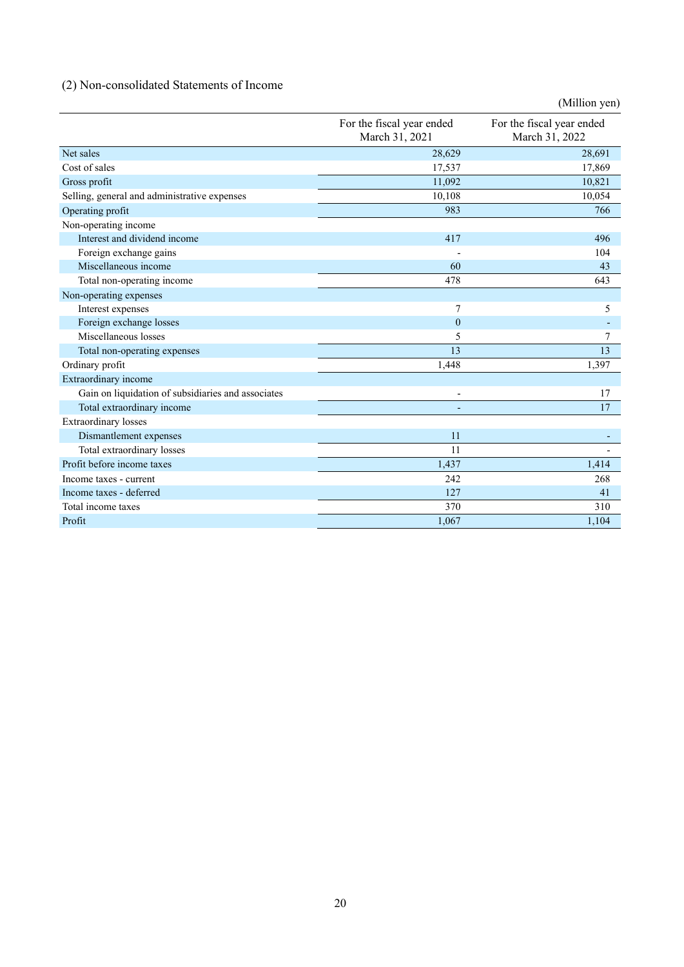## (2) Non-consolidated Statements of Income

|                                                    |                                             | (Million yen)                               |
|----------------------------------------------------|---------------------------------------------|---------------------------------------------|
|                                                    | For the fiscal year ended<br>March 31, 2021 | For the fiscal year ended<br>March 31, 2022 |
| Net sales                                          | 28,629                                      | 28,691                                      |
| Cost of sales                                      | 17,537                                      | 17,869                                      |
| Gross profit                                       | 11,092                                      | 10,821                                      |
| Selling, general and administrative expenses       | 10,108                                      | 10,054                                      |
| Operating profit                                   | 983                                         | 766                                         |
| Non-operating income                               |                                             |                                             |
| Interest and dividend income                       | 417                                         | 496                                         |
| Foreign exchange gains                             |                                             | 104                                         |
| Miscellaneous income                               | 60                                          | 43                                          |
| Total non-operating income                         | 478                                         | 643                                         |
| Non-operating expenses                             |                                             |                                             |
| Interest expenses                                  | 7                                           | 5                                           |
| Foreign exchange losses                            | $\mathbf{0}$                                |                                             |
| Miscellaneous losses                               | 5                                           | 7                                           |
| Total non-operating expenses                       | 13                                          | 13                                          |
| Ordinary profit                                    | 1,448                                       | 1,397                                       |
| Extraordinary income                               |                                             |                                             |
| Gain on liquidation of subsidiaries and associates |                                             | 17                                          |
| Total extraordinary income                         |                                             | 17                                          |
| <b>Extraordinary losses</b>                        |                                             |                                             |
| Dismantlement expenses                             | 11                                          |                                             |
| Total extraordinary losses                         | 11                                          |                                             |
| Profit before income taxes                         | 1,437                                       | 1,414                                       |
| Income taxes - current                             | 242                                         | 268                                         |
| Income taxes - deferred                            | 127                                         | 41                                          |
| Total income taxes                                 | 370                                         | 310                                         |
| Profit                                             | 1.067                                       | 1.104                                       |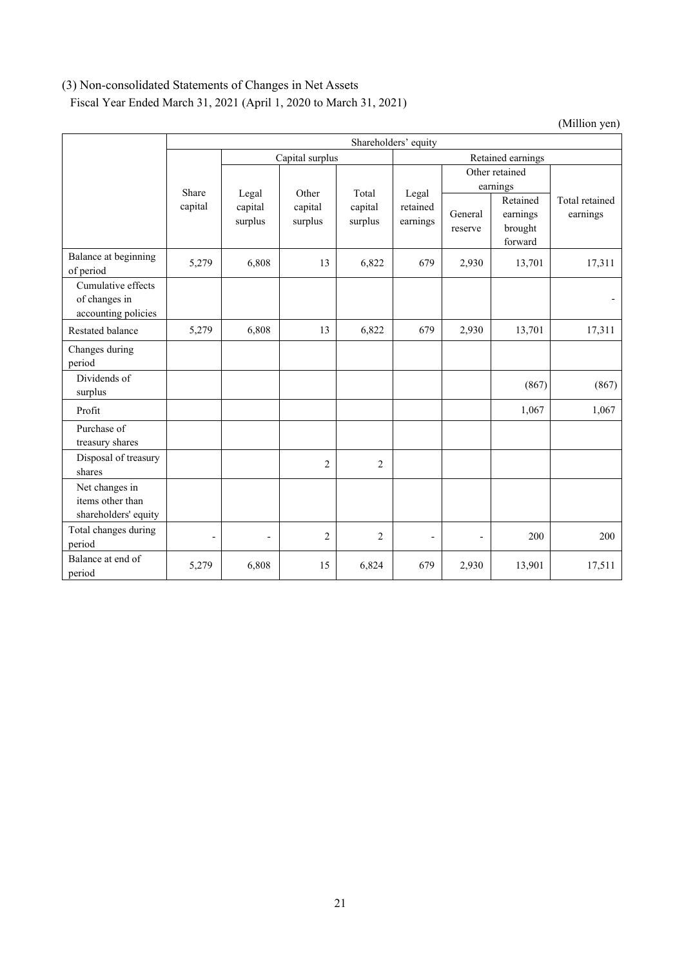## (3) Non-consolidated Statements of Changes in Net Assets

Fiscal Year Ended March 31, 2021 (April 1, 2020 to March 31, 2021)

|                                                            | Shareholders' equity     |                             |                             |                             |                               |                            |                                            |                            |  |
|------------------------------------------------------------|--------------------------|-----------------------------|-----------------------------|-----------------------------|-------------------------------|----------------------------|--------------------------------------------|----------------------------|--|
|                                                            |                          | Capital surplus             |                             |                             | Retained earnings             |                            |                                            |                            |  |
|                                                            | Share                    | Legal<br>capital<br>surplus | Other<br>capital<br>surplus | Total<br>capital<br>surplus | Legal<br>retained<br>earnings | Other retained<br>earnings |                                            |                            |  |
|                                                            | capital                  |                             |                             |                             |                               | General<br>reserve         | Retained<br>earnings<br>brought<br>forward | Total retained<br>earnings |  |
| Balance at beginning<br>of period                          | 5,279                    | 6,808                       | 13                          | 6,822                       | 679                           | 2,930                      | 13,701                                     | 17,311                     |  |
| Cumulative effects<br>of changes in<br>accounting policies |                          |                             |                             |                             |                               |                            |                                            |                            |  |
| Restated balance                                           | 5,279                    | 6,808                       | 13                          | 6,822                       | 679                           | 2,930                      | 13,701                                     | 17,311                     |  |
| Changes during<br>period                                   |                          |                             |                             |                             |                               |                            |                                            |                            |  |
| Dividends of<br>surplus                                    |                          |                             |                             |                             |                               |                            | (867)                                      | (867)                      |  |
| Profit                                                     |                          |                             |                             |                             |                               |                            | 1,067                                      | 1,067                      |  |
| Purchase of<br>treasury shares                             |                          |                             |                             |                             |                               |                            |                                            |                            |  |
| Disposal of treasury<br>shares                             |                          |                             | $\overline{2}$              | $\overline{2}$              |                               |                            |                                            |                            |  |
| Net changes in<br>items other than<br>shareholders' equity |                          |                             |                             |                             |                               |                            |                                            |                            |  |
| Total changes during<br>period                             | $\overline{\phantom{0}}$ | $\overline{a}$              | $\overline{2}$              | $\overline{2}$              | $\overline{a}$                | $\overline{a}$             | 200                                        | 200                        |  |
| Balance at end of<br>period                                | 5,279                    | 6,808                       | 15                          | 6,824                       | 679                           | 2,930                      | 13,901                                     | 17,511                     |  |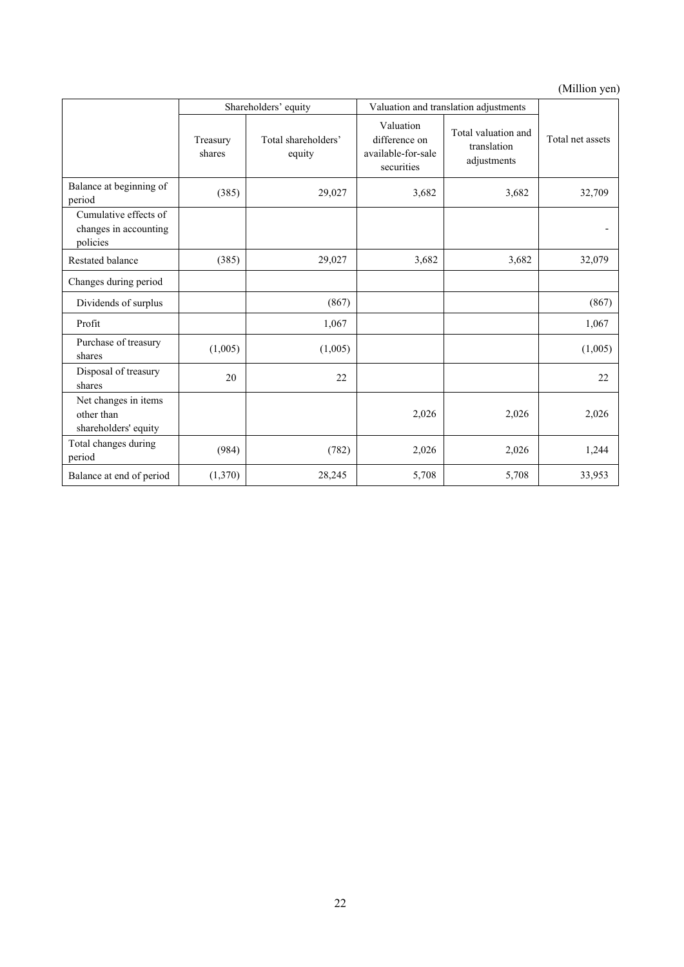|                                                            |                    | Shareholders' equity          | Valuation and translation adjustments                          |                                                   |                  |
|------------------------------------------------------------|--------------------|-------------------------------|----------------------------------------------------------------|---------------------------------------------------|------------------|
|                                                            | Treasury<br>shares | Total shareholders'<br>equity | Valuation<br>difference on<br>available-for-sale<br>securities | Total valuation and<br>translation<br>adjustments | Total net assets |
| Balance at beginning of<br>period                          | (385)              | 29,027                        | 3,682                                                          | 3,682                                             | 32,709           |
| Cumulative effects of<br>changes in accounting<br>policies |                    |                               |                                                                |                                                   |                  |
| <b>Restated balance</b>                                    | (385)              | 29,027                        | 3,682                                                          | 3,682                                             | 32,079           |
| Changes during period                                      |                    |                               |                                                                |                                                   |                  |
| Dividends of surplus                                       |                    | (867)                         |                                                                |                                                   | (867)            |
| Profit                                                     |                    | 1,067                         |                                                                |                                                   | 1,067            |
| Purchase of treasury<br>shares                             | (1,005)            | (1,005)                       |                                                                |                                                   | (1,005)          |
| Disposal of treasury<br>shares                             | 20                 | 22                            |                                                                |                                                   | 22               |
| Net changes in items<br>other than<br>shareholders' equity |                    |                               | 2,026                                                          | 2,026                                             | 2,026            |
| Total changes during<br>period                             | (984)              | (782)                         | 2,026                                                          | 2,026                                             | 1,244            |
| Balance at end of period                                   | (1,370)            | 28,245                        | 5,708                                                          | 5,708                                             | 33,953           |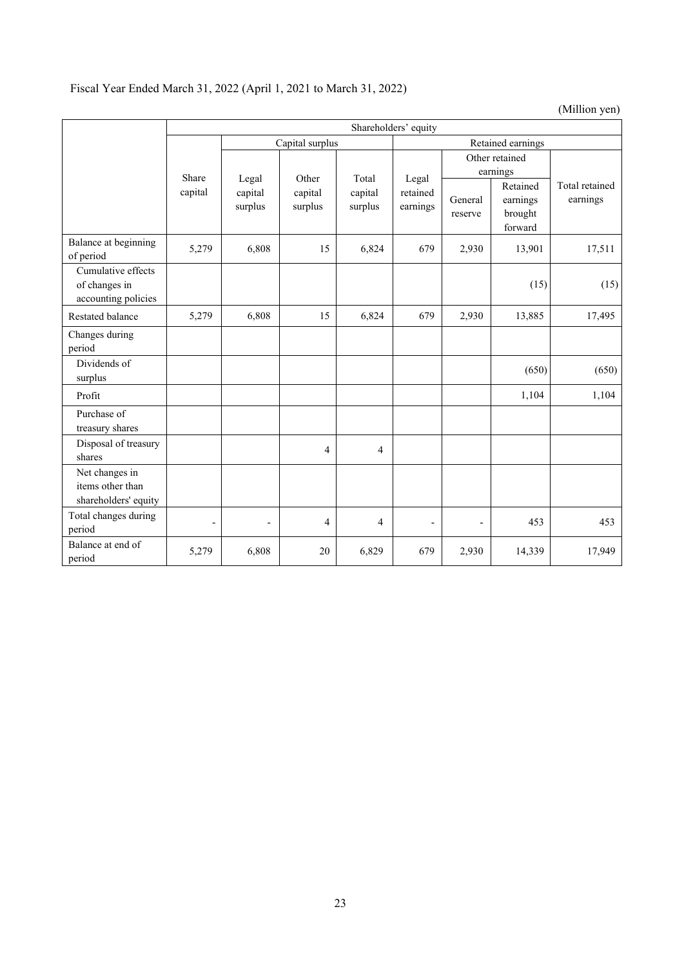## Fiscal Year Ended March 31, 2022 (April 1, 2021 to March 31, 2022)

|                                                            | Capital surplus          |                             |                    |                    |                               | Retained earnings          |                                            |                            |
|------------------------------------------------------------|--------------------------|-----------------------------|--------------------|--------------------|-------------------------------|----------------------------|--------------------------------------------|----------------------------|
|                                                            | Share                    |                             | Other              | Total              |                               | Other retained<br>earnings |                                            |                            |
|                                                            | capital                  | Legal<br>capital<br>surplus | capital<br>surplus | capital<br>surplus | Legal<br>retained<br>earnings | General<br>reserve         | Retained<br>earnings<br>brought<br>forward | Total retained<br>earnings |
| Balance at beginning<br>of period                          | 5,279                    | 6,808                       | 15                 | 6,824              | 679                           | 2,930                      | 13,901                                     | 17,511                     |
| Cumulative effects<br>of changes in<br>accounting policies |                          |                             |                    |                    |                               |                            | (15)                                       | (15)                       |
| <b>Restated balance</b>                                    | 5,279                    | 6,808                       | 15                 | 6,824              | 679                           | 2,930                      | 13,885                                     | 17,495                     |
| Changes during<br>period                                   |                          |                             |                    |                    |                               |                            |                                            |                            |
| Dividends of<br>surplus                                    |                          |                             |                    |                    |                               |                            | (650)                                      | (650)                      |
| Profit                                                     |                          |                             |                    |                    |                               |                            | 1,104                                      | 1,104                      |
| Purchase of<br>treasury shares                             |                          |                             |                    |                    |                               |                            |                                            |                            |
| Disposal of treasury<br>shares                             |                          |                             | 4                  | $\overline{4}$     |                               |                            |                                            |                            |
| Net changes in<br>items other than<br>shareholders' equity |                          |                             |                    |                    |                               |                            |                                            |                            |
| Total changes during<br>period                             | $\overline{\phantom{a}}$ | $\overline{\phantom{a}}$    | 4                  | $\overline{4}$     | $\overline{a}$                |                            | 453                                        | 453                        |
| Balance at end of<br>period                                | 5,279                    | 6,808                       | 20                 | 6,829              | 679                           | 2,930                      | 14,339                                     | 17,949                     |